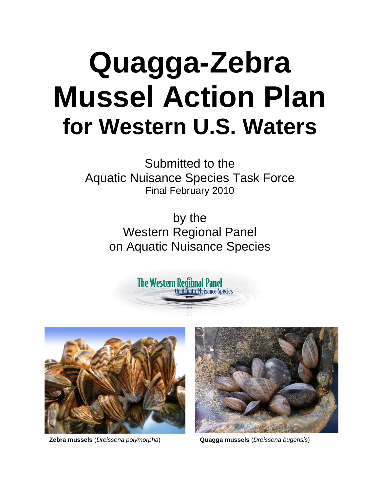# **Quagga-Zebra Mussel Action Plan for Western U.S. Waters**

Submitted to the Aquatic Nuisance Species Task Force Final February 2010

> by the Western Regional Panel on Aquatic Nuisance Species

> > **The Western Regional Panel**<br>On Aguatic Nuisance Species





**Zebra mussels** (*Dreissena polymorpha*) **Quagga mussels** (*Dreissena bugensis*)

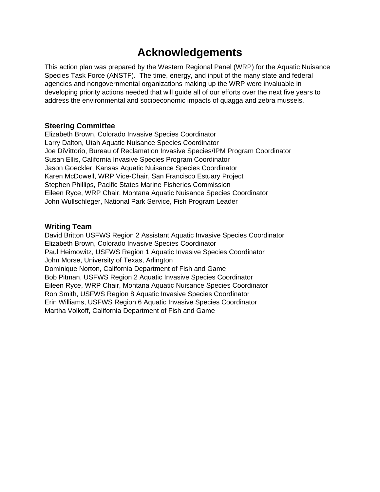### **Acknowledgements**

This action plan was prepared by the Western Regional Panel (WRP) for the Aquatic Nuisance Species Task Force (ANSTF). The time, energy, and input of the many state and federal agencies and nongovernmental organizations making up the WRP were invaluable in developing priority actions needed that will guide all of our efforts over the next five years to address the environmental and socioeconomic impacts of quagga and zebra mussels.

#### **Steering Committee**

Elizabeth Brown, Colorado Invasive Species Coordinator Larry Dalton, Utah Aquatic Nuisance Species Coordinator Joe DiVittorio, Bureau of Reclamation Invasive Species/IPM Program Coordinator Susan Ellis, California Invasive Species Program Coordinator Jason Goeckler, Kansas Aquatic Nuisance Species Coordinator Karen McDowell, WRP Vice-Chair, San Francisco Estuary Project Stephen Phillips, Pacific States Marine Fisheries Commission Eileen Ryce, WRP Chair, Montana Aquatic Nuisance Species Coordinator John Wullschleger, National Park Service, Fish Program Leader

#### **Writing Team**

David Britton USFWS Region 2 Assistant Aquatic Invasive Species Coordinator Elizabeth Brown, Colorado Invasive Species Coordinator Paul Heimowitz, USFWS Region 1 Aquatic Invasive Species Coordinator John Morse, University of Texas, Arlington Dominique Norton, California Department of Fish and Game Bob Pitman, USFWS Region 2 Aquatic Invasive Species Coordinator Eileen Ryce, WRP Chair, Montana Aquatic Nuisance Species Coordinator Ron Smith, USFWS Region 8 Aquatic Invasive Species Coordinator Erin Williams, USFWS Region 6 Aquatic Invasive Species Coordinator Martha Volkoff, California Department of Fish and Game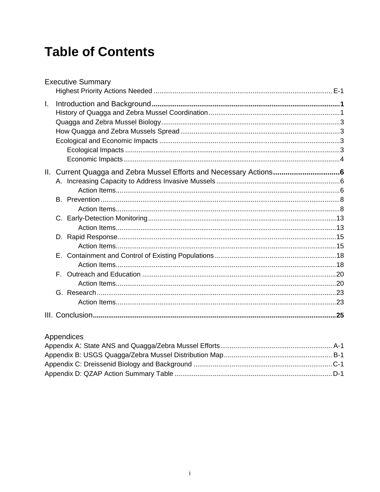# **Table of Contents**

|              | <b>Executive Summary</b> |  |
|--------------|--------------------------|--|
| $\mathbf{L}$ |                          |  |
|              |                          |  |
|              |                          |  |
|              |                          |  |
|              |                          |  |
|              |                          |  |
|              |                          |  |
|              |                          |  |
|              |                          |  |
|              |                          |  |
|              |                          |  |
|              |                          |  |
|              |                          |  |
|              |                          |  |
|              |                          |  |
|              |                          |  |
|              |                          |  |
|              |                          |  |
|              | F.                       |  |
|              |                          |  |
|              |                          |  |
|              |                          |  |
|              |                          |  |

### Appendices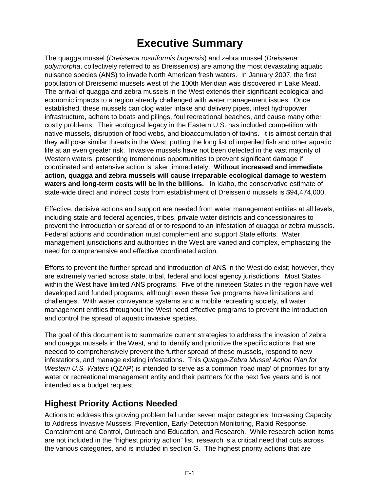# **Executive Summary**

The quagga mussel (*Dreissena rostriformis bugensis*) and zebra mussel (*Dreissena polymorpha*, collectively referred to as Dreissenids) are among the most devastating aquatic nuisance species (ANS) to invade North American fresh waters. In January 2007, the first population of Dreissenid mussels west of the 100th Meridian was discovered in Lake Mead. The arrival of quagga and zebra mussels in the West extends their significant ecological and economic impacts to a region already challenged with water management issues. Once established, these mussels can clog water intake and delivery pipes, infest hydropower infrastructure, adhere to boats and pilings, foul recreational beaches, and cause many other costly problems. Their ecological legacy in the Eastern U.S. has included competition with native mussels, disruption of food webs, and bioaccumulation of toxins. It is almost certain that they will pose similar threats in the West, putting the long list of imperiled fish and other aquatic life at an even greater risk. Invasive mussels have not been detected in the vast majority of Western waters, presenting tremendous opportunities to prevent significant damage if coordinated and extensive action is taken immediately. **Without increased and immediate action, quagga and zebra mussels will cause irreparable ecological damage to western waters and long-term costs will be in the billions.** In Idaho, the conservative estimate of state-wide direct and indirect costs from establishment of Dreissenid mussels is \$94,474,000.

Effective, decisive actions and support are needed from water management entities at all levels, including state and federal agencies, tribes, private water districts and concessionaires to prevent the introduction or spread of or to respond to an infestation of quagga or zebra mussels. Federal actions and coordination must complement and support State efforts. Water management jurisdictions and authorities in the West are varied and complex, emphasizing the need for comprehensive and effective coordinated action.

Efforts to prevent the further spread and introduction of ANS in the West do exist; however, they are extremely varied across state, tribal, federal and local agency jurisdictions. Most States within the West have limited ANS programs. Five of the nineteen States in the region have well developed and funded programs, although even these five programs have limitations and challenges. With water conveyance systems and a mobile recreating society, all water management entities throughout the West need effective programs to prevent the introduction and control the spread of aquatic invasive species.

The goal of this document is to summarize current strategies to address the invasion of zebra and quagga mussels in the West, and to identify and prioritize the specific actions that are needed to comprehensively prevent the further spread of these mussels, respond to new infestations, and manage existing infestations. This *Quagga-Zebra Mussel Action Plan for Western U.S. Waters* (QZAP) is intended to serve as a common 'road map' of priorities for any water or recreational management entity and their partners for the next five years and is not intended as a budget request.

### **Highest Priority Actions Needed**

Actions to address this growing problem fall under seven major categories: Increasing Capacity to Address Invasive Mussels, Prevention, Early-Detection Monitoring, Rapid Response, Containment and Control, Outreach and Education, and Research. While research action items are not included in the "highest priority action" list, research is a critical need that cuts across the various categories, and is included in section G. The highest priority actions that are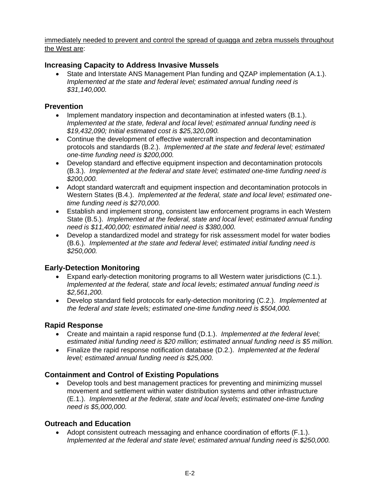#### immediately needed to prevent and control the spread of quagga and zebra mussels throughout the West are:

#### **Increasing Capacity to Address Invasive Mussels**

• State and Interstate ANS Management Plan funding and QZAP implementation (A.1.). *Implemented at the state and federal level; estimated annual funding need is \$31,140,000.*

#### **Prevention**

- Implement mandatory inspection and decontamination at infested waters (B.1.). *Implemented at the state, federal and local level; estimated annual funding need is \$19,432,090; Initial estimated cost is \$25,320,090.*
- Continue the development of effective watercraft inspection and decontamination protocols and standards (B.2.). *Implemented at the state and federal level; estimated one-time funding need is \$200,000.*
- Develop standard and effective equipment inspection and decontamination protocols (B.3.). *Implemented at the federal and state level; estimated one-time funding need is \$200,000.*
- Adopt standard watercraft and equipment inspection and decontamination protocols in Western States (B.4.). *Implemented at the federal, state and local level; estimated onetime funding need is \$270,000.*
- Establish and implement strong, consistent law enforcement programs in each Western State (B.5.). *Implemented at the federal, state and local level; estimated annual funding need is \$11,400,000; estimated initial need is \$380,000.*
- Develop a standardized model and strategy for risk assessment model for water bodies (B.6.). *Implemented at the state and federal level; estimated initial funding need is \$250,000.*

#### **Early-Detection Monitoring**

- Expand early-detection monitoring programs to all Western water jurisdictions (C.1.). *Implemented at the federal, state and local levels; estimated annual funding need is \$2,561,200.*
- Develop standard field protocols for early-detection monitoring (C.2.). *Implemented at the federal and state levels; estimated one-time funding need is \$504,000.*

#### **Rapid Response**

- Create and maintain a rapid response fund (D.1.). *Implemented at the federal level; estimated initial funding need is \$20 million; estimated annual funding need is \$5 million.*
- Finalize the rapid response notification database (D.2.). *Implemented at the federal level; estimated annual funding need is \$25,000.*

#### **Containment and Control of Existing Populations**

• Develop tools and best management practices for preventing and minimizing mussel movement and settlement within water distribution systems and other infrastructure (E.1.). *Implemented at the federal, state and local levels; estimated one-time funding need is \$5,000,000.* 

#### **Outreach and Education**

• Adopt consistent outreach messaging and enhance coordination of efforts (F.1.). *Implemented at the federal and state level; estimated annual funding need is \$250,000.*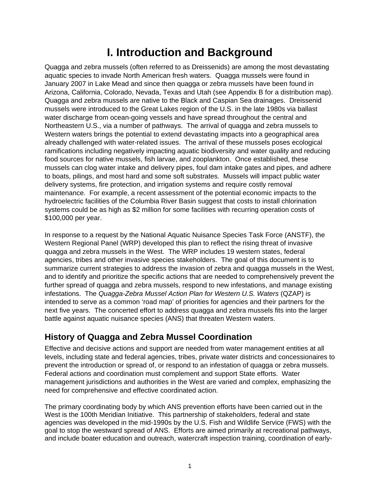### **I. Introduction and Background**

Quagga and zebra mussels (often referred to as Dreissenids) are among the most devastating aquatic species to invade North American fresh waters. Quagga mussels were found in January 2007 in Lake Mead and since then quagga or zebra mussels have been found in Arizona, California, Colorado, Nevada, Texas and Utah (see Appendix B for a distribution map). Quagga and zebra mussels are native to the Black and Caspian Sea drainages. Dreissenid mussels were introduced to the Great Lakes region of the U.S. in the late 1980s via ballast water discharge from ocean-going vessels and have spread throughout the central and Northeastern U.S., via a number of pathways. The arrival of quagga and zebra mussels to Western waters brings the potential to extend devastating impacts into a geographical area already challenged with water-related issues. The arrival of these mussels poses ecological ramifications including negatively impacting aquatic biodiversity and water quality and reducing food sources for native mussels, fish larvae, and zooplankton. Once established, these mussels can clog water intake and delivery pipes, foul dam intake gates and pipes, and adhere to boats, pilings, and most hard and some soft substrates. Mussels will impact public water delivery systems, fire protection, and irrigation systems and require costly removal maintenance. For example, a recent assessment of the potential economic impacts to the hydroelectric facilities of the Columbia River Basin suggest that costs to install chlorination systems could be as high as \$2 million for some facilities with recurring operation costs of \$100,000 per year.

In response to a request by the National Aquatic Nuisance Species Task Force (ANSTF), the Western Regional Panel (WRP) developed this plan to reflect the rising threat of invasive quagga and zebra mussels in the West. The WRP includes 19 western states, federal agencies, tribes and other invasive species stakeholders. The goal of this document is to summarize current strategies to address the invasion of zebra and quagga mussels in the West, and to identify and prioritize the specific actions that are needed to comprehensively prevent the further spread of quagga and zebra mussels, respond to new infestations, and manage existing infestations. The *Quagga-Zebra Mussel Action Plan for Western U.S. Waters* (QZAP) is intended to serve as a common 'road map' of priorities for agencies and their partners for the next five years. The concerted effort to address quagga and zebra mussels fits into the larger battle against aquatic nuisance species (ANS) that threaten Western waters.

### **History of Quagga and Zebra Mussel Coordination**

Effective and decisive actions and support are needed from water management entities at all levels, including state and federal agencies, tribes, private water districts and concessionaires to prevent the introduction or spread of, or respond to an infestation of quagga or zebra mussels. Federal actions and coordination must complement and support State efforts. Water management jurisdictions and authorities in the West are varied and complex, emphasizing the need for comprehensive and effective coordinated action.

The primary coordinating body by which ANS prevention efforts have been carried out in the West is the 100th Meridian Initiative. This partnership of stakeholders, federal and state agencies was developed in the mid-1990s by the U.S. Fish and Wildlife Service (FWS) with the goal to stop the westward spread of ANS. Efforts are aimed primarily at recreational pathways, and include boater education and outreach, watercraft inspection training, coordination of early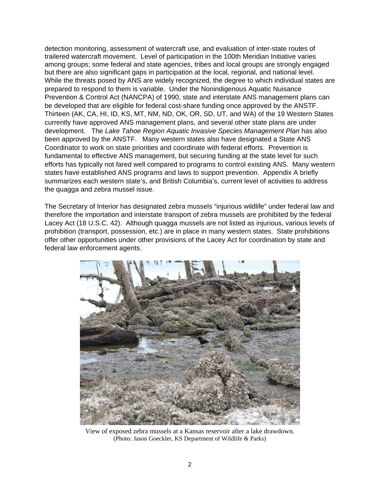detection monitoring, assessment of watercraft use, and evaluation of inter-state routes of trailered watercraft movement. Level of participation in the 100th Meridian Initiative varies among groups; some federal and state agencies, tribes and local groups are strongly engaged but there are also significant gaps in participation at the local, regional, and national level. While the threats posed by ANS are widely recognized, the degree to which individual states are prepared to respond to them is variable. Under the Nonindigenous Aquatic Nuisance Prevention & Control Act (NANCPA) of 1990, state and interstate ANS management plans can be developed that are eligible for federal cost-share funding once approved by the ANSTF. Thirteen (AK, CA, HI, ID, KS, MT, NM, ND, OK, OR, SD, UT, and WA) of the 19 Western States currently have approved ANS management plans, and several other state plans are under development. The *Lake Tahoe Region Aquatic Invasive Species Management Plan* has also been approved by the ANSTF. Many western states also have designated a State ANS Coordinator to work on state priorities and coordinate with federal efforts. Prevention is fundamental to effective ANS management, but securing funding at the state level for such efforts has typically not fared well compared to programs to control existing ANS. Many western states have established ANS programs and laws to support prevention. Appendix A briefly summarizes each western state's, and British Columbia's, current level of activities to address the quagga and zebra mussel issue.

The Secretary of Interior has designated zebra mussels "injurious wildlife" under federal law and therefore the importation and interstate transport of zebra mussels are prohibited by the federal Lacey Act (18 U.S.C. 42). Although quagga mussels are not listed as injurious, various levels of prohibition (transport, possession, etc.) are in place in many western states. State prohibitions offer other opportunities under other provisions of the Lacey Act for coordination by state and federal law enforcement agents.



View of exposed zebra mussels at a Kansas reservoir after a lake drawdown. (Photo: Jason Goeckler, KS Department of Wildlife & Parks)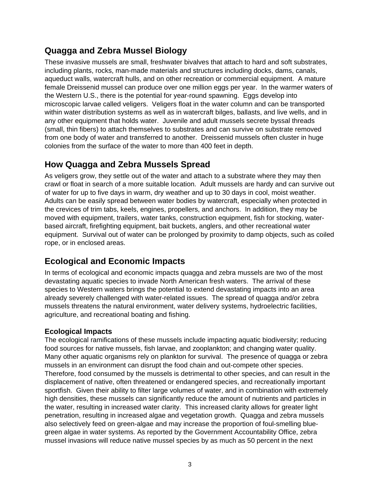### **Quagga and Zebra Mussel Biology**

These invasive mussels are small, freshwater bivalves that attach to hard and soft substrates, including plants, rocks, man-made materials and structures including docks, dams, canals, aqueduct walls, watercraft hulls, and on other recreation or commercial equipment. A mature female Dreissenid mussel can produce over one million eggs per year. In the warmer waters of the Western U.S., there is the potential for year-round spawning. Eggs develop into microscopic larvae called veligers. Veligers float in the water column and can be transported within water distribution systems as well as in watercraft bilges, ballasts, and live wells, and in any other equipment that holds water. Juvenile and adult mussels secrete byssal threads (small, thin fibers) to attach themselves to substrates and can survive on substrate removed from one body of water and transferred to another. Dreissenid mussels often cluster in huge colonies from the surface of the water to more than 400 feet in depth.

### **How Quagga and Zebra Mussels Spread**

As veligers grow, they settle out of the water and attach to a substrate where they may then crawl or float in search of a more suitable location. Adult mussels are hardy and can survive out of water for up to five days in warm, dry weather and up to 30 days in cool, moist weather. Adults can be easily spread between water bodies by watercraft, especially when protected in the crevices of trim tabs, keels, engines, propellers, and anchors. In addition, they may be moved with equipment, trailers, water tanks, construction equipment, fish for stocking, waterbased aircraft, firefighting equipment, bait buckets, anglers, and other recreational water equipment. Survival out of water can be prolonged by proximity to damp objects, such as coiled rope, or in enclosed areas.

### **Ecological and Economic Impacts**

In terms of ecological and economic impacts quagga and zebra mussels are two of the most devastating aquatic species to invade North American fresh waters. The arrival of these species to Western waters brings the potential to extend devastating impacts into an area already severely challenged with water-related issues. The spread of quagga and/or zebra mussels threatens the natural environment, water delivery systems, hydroelectric facilities, agriculture, and recreational boating and fishing.

#### **Ecological Impacts**

The ecological ramifications of these mussels include impacting aquatic biodiversity; reducing food sources for native mussels, fish larvae, and zooplankton; and changing water quality. Many other aquatic organisms rely on plankton for survival. The presence of quagga or zebra mussels in an environment can disrupt the food chain and out-compete other species. Therefore, food consumed by the mussels is detrimental to other species, and can result in the displacement of native, often threatened or endangered species, and recreationally important sportfish. Given their ability to filter large volumes of water, and in combination with extremely high densities, these mussels can significantly reduce the amount of nutrients and particles in the water, resulting in increased water clarity. This increased clarity allows for greater light penetration, resulting in increased algae and vegetation growth. Quagga and zebra mussels also selectively feed on green-algae and may increase the proportion of foul-smelling bluegreen algae in water systems. As reported by the Government Accountability Office, zebra mussel invasions will reduce native mussel species by as much as 50 percent in the next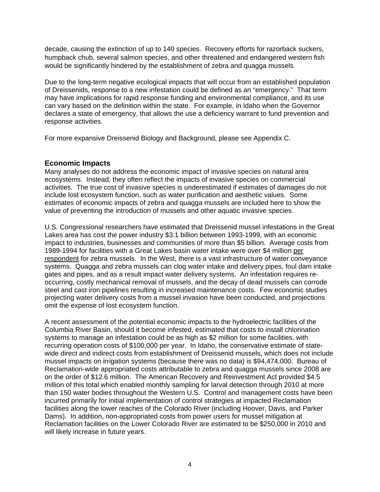decade, causing the extinction of up to 140 species. Recovery efforts for razorback suckers, humpback chub, several salmon species, and other threatened and endangered western fish would be significantly hindered by the establishment of zebra and quagga mussels.

Due to the long-term negative ecological impacts that will occur from an established population of Dreissenids, response to a new infestation could be defined as an "emergency." That term may have implications for rapid response funding and environmental compliance, and its use can vary based on the definition within the state. For example, in Idaho when the Governor declares a state of emergency, that allows the use a deficiency warrant to fund prevention and response activities.

For more expansive Dreissenid Biology and Background, please see Appendix C.

#### **Economic Impacts**

Many analyses do not address the economic impact of invasive species on natural area ecosystems. Instead, they often reflect the impacts of invasive species on commercial activities. The true cost of invasive species is underestimated if estimates of damages do not include lost ecosystem function, such as water purification and aesthetic values. Some estimates of economic impacts of zebra and quagga mussels are included here to show the value of preventing the introduction of mussels and other aquatic invasive species.

U.S. Congressional researchers have estimated that Dreissenid mussel infestations in the Great Lakes area has cost the power industry \$3.1 billion between 1993-1999, with an economic impact to industries, businesses and communities of more than \$5 billion. Average costs from 1989-1994 for facilities with a Great Lakes basin water intake were over \$4 million per respondent for zebra mussels. In the West, there is a vast infrastructure of water conveyance systems. Quagga and zebra mussels can clog water intake and delivery pipes, foul dam intake gates and pipes, and as a result impact water delivery systems. An infestation requires reoccurring, costly mechanical removal of mussels, and the decay of dead mussels can corrode steel and cast iron pipelines resulting in increased maintenance costs. Few economic studies projecting water delivery costs from a mussel invasion have been conducted, and projections omit the expense of lost ecosystem function.

A recent assessment of the potential economic impacts to the hydroelectric facilities of the Columbia River Basin, should it become infested, estimated that costs to install chlorination systems to manage an infestation could be as high as \$2 million for some facilities, with recurring operation costs of \$100,000 per year. In Idaho, the conservative estimate of statewide direct and indirect costs from establishment of Dreissenid mussels, which does not include mussel impacts on irrigation systems (because there was no data) is \$94,474,000. Bureau of Reclamation-wide appropriated costs attributable to zebra and quagga mussels since 2008 are on the order of \$12.6 million. The American Recovery and Reinvestment Act provided \$4.5 million of this total which enabled monthly sampling for larval detection through 2010 at more than 150 water bodies throughout the Western U.S. Control and management costs have been incurred primarily for initial implementation of control strategies at impacted Reclamation facilities along the lower reaches of the Colorado River (including Hoover, Davis, and Parker Dams). In addition, non-appropriated costs from power users for mussel mitigation at Reclamation facilities on the Lower Colorado River are estimated to be \$250,000 in 2010 and will likely increase in future years.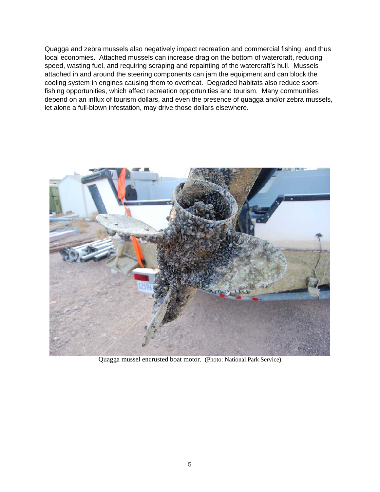Quagga and zebra mussels also negatively impact recreation and commercial fishing, and thus local economies. Attached mussels can increase drag on the bottom of watercraft, reducing speed, wasting fuel, and requiring scraping and repainting of the watercraft's hull. Mussels attached in and around the steering components can jam the equipment and can block the cooling system in engines causing them to overheat. Degraded habitats also reduce sportfishing opportunities, which affect recreation opportunities and tourism. Many communities depend on an influx of tourism dollars, and even the presence of quagga and/or zebra mussels, let alone a full-blown infestation, may drive those dollars elsewhere.



Quagga mussel encrusted boat motor. (Photo: National Park Service)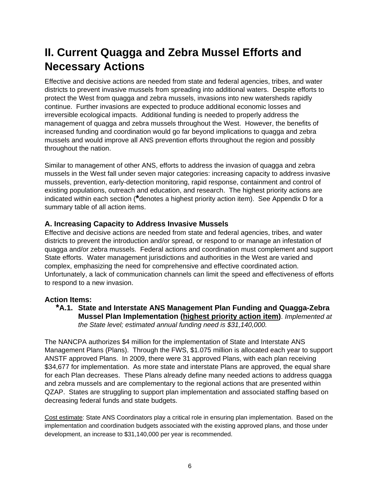# **II. Current Quagga and Zebra Mussel Efforts and Necessary Actions**

Effective and decisive actions are needed from state and federal agencies, tribes, and water districts to prevent invasive mussels from spreading into additional waters. Despite efforts to protect the West from quagga and zebra mussels, invasions into new watersheds rapidly continue. Further invasions are expected to produce additional economic losses and irreversible ecological impacts. Additional funding is needed to properly address the management of quagga and zebra mussels throughout the West. However, the benefits of increased funding and coordination would go far beyond implications to quagga and zebra mussels and would improve all ANS prevention efforts throughout the region and possibly throughout the nation.

Similar to management of other ANS, efforts to address the invasion of quagga and zebra mussels in the West fall under seven major categories: increasing capacity to address invasive mussels, prevention, early-detection monitoring, rapid response, containment and control of existing populations, outreach and education, and research. The highest priority actions are indicated within each section (**\***denotes a highest priority action item). See Appendix D for a summary table of all action items.

#### **A. Increasing Capacity to Address Invasive Mussels**

Effective and decisive actions are needed from state and federal agencies, tribes, and water districts to prevent the introduction and/or spread, or respond to or manage an infestation of quagga and/or zebra mussels. Federal actions and coordination must complement and support State efforts. Water management jurisdictions and authorities in the West are varied and complex, emphasizing the need for comprehensive and effective coordinated action. Unfortunately, a lack of communication channels can limit the speed and effectiveness of efforts to respond to a new invasion.

#### **Action Items:**

**\*A.1. State and Interstate ANS Management Plan Funding and Quagga-Zebra Mussel Plan Implementation (highest priority action item)**. *Implemented at the State level; estimated annual funding need is \$31,140,000.* 

The NANCPA authorizes \$4 million for the implementation of State and Interstate ANS Management Plans (Plans). Through the FWS, \$1.075 million is allocated each year to support ANSTF approved Plans. In 2009, there were 31 approved Plans, with each plan receiving \$34,677 for implementation. As more state and interstate Plans are approved, the equal share for each Plan decreases. These Plans already define many needed actions to address quagga and zebra mussels and are complementary to the regional actions that are presented within QZAP. States are struggling to support plan implementation and associated staffing based on decreasing federal funds and state budgets.

Cost estimate: State ANS Coordinators play a critical role in ensuring plan implementation. Based on the implementation and coordination budgets associated with the existing approved plans, and those under development, an increase to \$31,140,000 per year is recommended.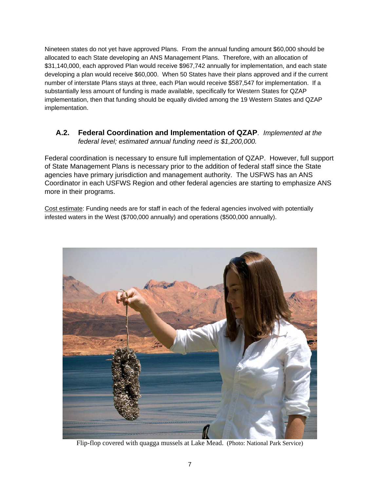Nineteen states do not yet have approved Plans. From the annual funding amount \$60,000 should be allocated to each State developing an ANS Management Plans. Therefore, with an allocation of \$31,140,000, each approved Plan would receive \$967,742 annually for implementation, and each state developing a plan would receive \$60,000. When 50 States have their plans approved and if the current number of interstate Plans stays at three, each Plan would receive \$587,547 for implementation. If a substantially less amount of funding is made available, specifically for Western States for QZAP implementation, then that funding should be equally divided among the 19 Western States and QZAP implementation.

#### **A.2. Federal Coordination and Implementation of QZAP**. *Implemented at the federal level; estimated annual funding need is \$1,200,000.*

Federal coordination is necessary to ensure full implementation of QZAP. However, full support of State Management Plans is necessary prior to the addition of federal staff since the State agencies have primary jurisdiction and management authority. The USFWS has an ANS Coordinator in each USFWS Region and other federal agencies are starting to emphasize ANS more in their programs.

Cost estimate: Funding needs are for staff in each of the federal agencies involved with potentially infested waters in the West (\$700,000 annually) and operations (\$500,000 annually).



Flip-flop covered with quagga mussels at Lake Mead. (Photo: National Park Service)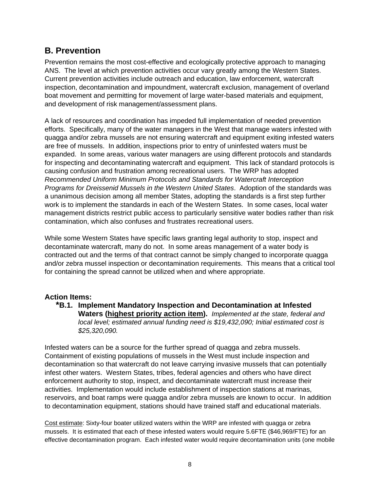### **B. Prevention**

Prevention remains the most cost-effective and ecologically protective approach to managing ANS. The level at which prevention activities occur vary greatly among the Western States. Current prevention activities include outreach and education, law enforcement, watercraft inspection, decontamination and impoundment, watercraft exclusion, management of overland boat movement and permitting for movement of large water-based materials and equipment, and development of risk management/assessment plans.

A lack of resources and coordination has impeded full implementation of needed prevention efforts. Specifically, many of the water managers in the West that manage waters infested with quagga and/or zebra mussels are not ensuring watercraft and equipment exiting infested waters are free of mussels. In addition, inspections prior to entry of uninfested waters must be expanded. In some areas, various water managers are using different protocols and standards for inspecting and decontaminating watercraft and equipment. This lack of standard protocols is causing confusion and frustration among recreational users. The WRP has adopted *Recommended Uniform Minimum Protocols and Standards for Watercraft Interception Programs for Dreissenid Mussels in the Western United States*. Adoption of the standards was a unanimous decision among all member States, adopting the standards is a first step further work is to implement the standards in each of the Western States. In some cases, local water management districts restrict public access to particularly sensitive water bodies rather than risk contamination, which also confuses and frustrates recreational users.

While some Western States have specific laws granting legal authority to stop, inspect and decontaminate watercraft, many do not. In some areas management of a water body is contracted out and the terms of that contract cannot be simply changed to incorporate quagga and/or zebra mussel inspection or decontamination requirements. This means that a critical tool for containing the spread cannot be utilized when and where appropriate.

#### **Action Items:**

**\*B.1. Implement Mandatory Inspection and Decontamination at Infested Waters (highest priority action item).** *Implemented at the state, federal and local level; estimated annual funding need is \$19,432,090; Initial estimated cost is \$25,320,090.*

Infested waters can be a source for the further spread of quagga and zebra mussels. Containment of existing populations of mussels in the West must include inspection and decontamination so that watercraft do not leave carrying invasive mussels that can potentially infest other waters. Western States, tribes, federal agencies and others who have direct enforcement authority to stop, inspect, and decontaminate watercraft must increase their activities. Implementation would include establishment of inspection stations at marinas, reservoirs, and boat ramps were quagga and/or zebra mussels are known to occur. In addition to decontamination equipment, stations should have trained staff and educational materials.

Cost estimate: Sixty-four boater utilized waters within the WRP are infested with quagga or zebra mussels. It is estimated that each of these infested waters would require 5.6FTE (\$46,969/FTE) for an effective decontamination program. Each infested water would require decontamination units (one mobile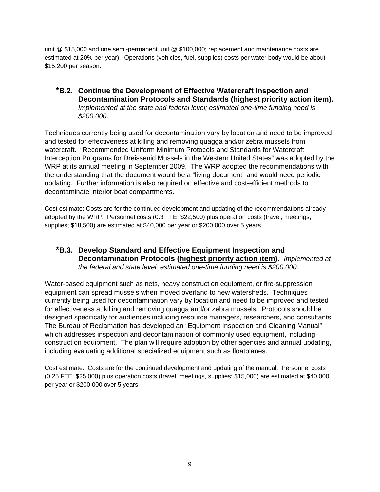unit @ \$15,000 and one semi-permanent unit @ \$100,000; replacement and maintenance costs are estimated at 20% per year). Operations (vehicles, fuel, supplies) costs per water body would be about \$15,200 per season.

**\*B.2. Continue the Development of Effective Watercraft Inspection and Decontamination Protocols and Standards (highest priority action item).** *Implemented at the state and federal level; estimated one-time funding need is \$200,000.*

Techniques currently being used for decontamination vary by location and need to be improved and tested for effectiveness at killing and removing quagga and/or zebra mussels from watercraft. "Recommended Uniform Minimum Protocols and Standards for Watercraft Interception Programs for Dreissenid Mussels in the Western United States" was adopted by the WRP at its annual meeting in September 2009. The WRP adopted the recommendations with the understanding that the document would be a "living document" and would need periodic updating. Further information is also required on effective and cost-efficient methods to decontaminate interior boat compartments.

Cost estimate: Costs are for the continued development and updating of the recommendations already adopted by the WRP. Personnel costs (0.3 FTE; \$22,500) plus operation costs (travel, meetings, supplies; \$18,500) are estimated at \$40,000 per year or \$200,000 over 5 years.

**\*B.3. Develop Standard and Effective Equipment Inspection and Decontamination Protocols (highest priority action item).** *Implemented at the federal and state level; estimated one-time funding need is \$200,000.* 

Water-based equipment such as nets, heavy construction equipment, or fire-suppression equipment can spread mussels when moved overland to new watersheds. Techniques currently being used for decontamination vary by location and need to be improved and tested for effectiveness at killing and removing quagga and/or zebra mussels. Protocols should be designed specifically for audiences including resource managers, researchers, and consultants. The Bureau of Reclamation has developed an "Equipment Inspection and Cleaning Manual" which addresses inspection and decontamination of commonly used equipment, including construction equipment. The plan will require adoption by other agencies and annual updating, including evaluating additional specialized equipment such as floatplanes.

Cost estimate: Costs are for the continued development and updating of the manual. Personnel costs (0.25 FTE; \$25,000) plus operation costs (travel, meetings, supplies; \$15,000) are estimated at \$40,000 per year or \$200,000 over 5 years.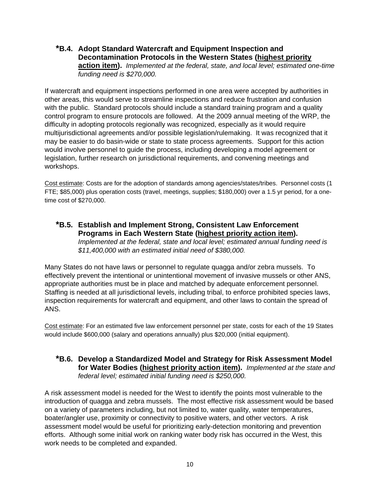#### **\*B.4. Adopt Standard Watercraft and Equipment Inspection and Decontamination Protocols in the Western States (highest priority action item).** *Implemented at the federal, state, and local level; estimated one-time funding need is \$270,000.*

If watercraft and equipment inspections performed in one area were accepted by authorities in other areas, this would serve to streamline inspections and reduce frustration and confusion with the public. Standard protocols should include a standard training program and a quality control program to ensure protocols are followed. At the 2009 annual meeting of the WRP, the difficulty in adopting protocols regionally was recognized, especially as it would require multijurisdictional agreements and/or possible legislation/rulemaking. It was recognized that it may be easier to do basin-wide or state to state process agreements. Support for this action would involve personnel to guide the process, including developing a model agreement or legislation, further research on jurisdictional requirements, and convening meetings and workshops.

Cost estimate: Costs are for the adoption of standards among agencies/states/tribes. Personnel costs (1 FTE; \$85,000) plus operation costs (travel, meetings, supplies; \$180,000) over a 1.5 yr period, for a onetime cost of \$270,000.

**\*B.5. Establish and Implement Strong, Consistent Law Enforcement Programs in Each Western State (highest priority action item).**  *Implemented at the federal, state and local level; estimated annual funding need is \$11,400,000 with an estimated initial need of \$380,000.*

Many States do not have laws or personnel to regulate quagga and/or zebra mussels. To effectively prevent the intentional or unintentional movement of invasive mussels or other ANS, appropriate authorities must be in place and matched by adequate enforcement personnel. Staffing is needed at all jurisdictional levels, including tribal, to enforce prohibited species laws, inspection requirements for watercraft and equipment, and other laws to contain the spread of ANS.

Cost estimate: For an estimated five law enforcement personnel per state, costs for each of the 19 States would include \$600,000 (salary and operations annually) plus \$20,000 (initial equipment).

**\*B.6. Develop a Standardized Model and Strategy for Risk Assessment Model for Water Bodies (highest priority action item).** *Implemented at the state and federal level; estimated initial funding need is \$250,000.*

A risk assessment model is needed for the West to identify the points most vulnerable to the introduction of quagga and zebra mussels. The most effective risk assessment would be based on a variety of parameters including, but not limited to, water quality, water temperatures, boater/angler use, proximity or connectivity to positive waters, and other vectors. A risk assessment model would be useful for prioritizing early-detection monitoring and prevention efforts. Although some initial work on ranking water body risk has occurred in the West, this work needs to be completed and expanded.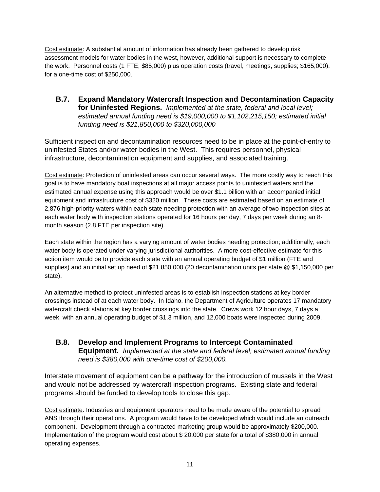Cost estimate: A substantial amount of information has already been gathered to develop risk assessment models for water bodies in the west, however, additional support is necessary to complete the work. Personnel costs (1 FTE; \$85,000) plus operation costs (travel, meetings, supplies; \$165,000), for a one-time cost of \$250,000.

**B.7. Expand Mandatory Watercraft Inspection and Decontamination Capacity for Uninfested Regions.** *Implemented at the state, federal and local level; estimated annual funding need is \$19,000,000 to \$1,102,215,150; estimated initial funding need is \$21,850,000 to \$320,000,000*

Sufficient inspection and decontamination resources need to be in place at the point-of-entry to uninfested States and/or water bodies in the West. This requires personnel, physical infrastructure, decontamination equipment and supplies, and associated training.

Cost estimate: Protection of uninfested areas can occur several ways. The more costly way to reach this goal is to have mandatory boat inspections at all major access points to uninfested waters and the estimated annual expense using this approach would be over \$1.1 billion with an accompanied initial equipment and infrastructure cost of \$320 million. These costs are estimated based on an estimate of 2,876 high-priority waters within each state needing protection with an average of two inspection sites at each water body with inspection stations operated for 16 hours per day, 7 days per week during an 8 month season (2.8 FTE per inspection site).

Each state within the region has a varying amount of water bodies needing protection; additionally, each water body is operated under varying jurisdictional authorities. A more cost-effective estimate for this action item would be to provide each state with an annual operating budget of \$1 million (FTE and supplies) and an initial set up need of \$21,850,000 (20 decontamination units per state @ \$1,150,000 per state).

An alternative method to protect uninfested areas is to establish inspection stations at key border crossings instead of at each water body. In Idaho, the Department of Agriculture operates 17 mandatory watercraft check stations at key border crossings into the state. Crews work 12 hour days, 7 days a week, with an annual operating budget of \$1.3 million, and 12,000 boats were inspected during 2009.

**B.8. Develop and Implement Programs to Intercept Contaminated Equipment.** *Implemented at the state and federal level; estimated annual funding need is \$380,000 with one-time cost of \$200,000.*

Interstate movement of equipment can be a pathway for the introduction of mussels in the West and would not be addressed by watercraft inspection programs. Existing state and federal programs should be funded to develop tools to close this gap.

Cost estimate: Industries and equipment operators need to be made aware of the potential to spread ANS through their operations. A program would have to be developed which would include an outreach component. Development through a contracted marketing group would be approximately \$200,000. Implementation of the program would cost about \$ 20,000 per state for a total of \$380,000 in annual operating expenses.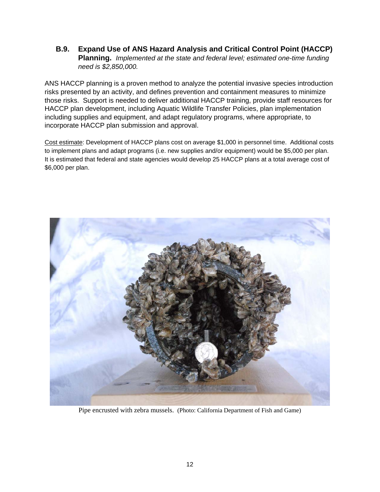**B.9. Expand Use of ANS Hazard Analysis and Critical Control Point (HACCP) Planning.** *Implemented at the state and federal level; estimated one-time funding need is \$2,850,000.*

ANS HACCP planning is a proven method to analyze the potential invasive species introduction risks presented by an activity, and defines prevention and containment measures to minimize those risks. Support is needed to deliver additional HACCP training, provide staff resources for HACCP plan development, including Aquatic Wildlife Transfer Policies, plan implementation including supplies and equipment, and adapt regulatory programs, where appropriate, to incorporate HACCP plan submission and approval.

Cost estimate: Development of HACCP plans cost on average \$1,000 in personnel time. Additional costs to implement plans and adapt programs (i.e. new supplies and/or equipment) would be \$5,000 per plan. It is estimated that federal and state agencies would develop 25 HACCP plans at a total average cost of \$6,000 per plan.



Pipe encrusted with zebra mussels. (Photo: California Department of Fish and Game)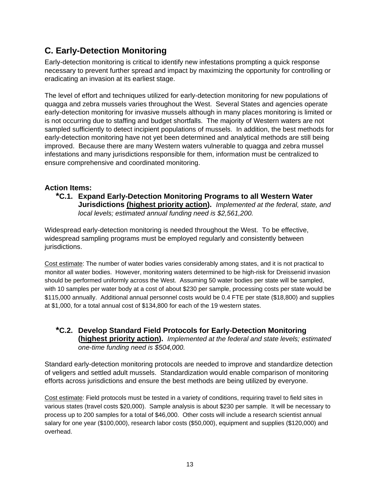### **C. Early-Detection Monitoring**

Early-detection monitoring is critical to identify new infestations prompting a quick response necessary to prevent further spread and impact by maximizing the opportunity for controlling or eradicating an invasion at its earliest stage.

The level of effort and techniques utilized for early-detection monitoring for new populations of quagga and zebra mussels varies throughout the West. Several States and agencies operate early-detection monitoring for invasive mussels although in many places monitoring is limited or is not occurring due to staffing and budget shortfalls. The majority of Western waters are not sampled sufficiently to detect incipient populations of mussels. In addition, the best methods for early-detection monitoring have not yet been determined and analytical methods are still being improved. Because there are many Western waters vulnerable to quagga and zebra mussel infestations and many jurisdictions responsible for them, information must be centralized to ensure comprehensive and coordinated monitoring.

#### **Action Items:**

**\*C.1. Expand Early-Detection Monitoring Programs to all Western Water Jurisdictions (highest priority action).** *Implemented at the federal, state, and local levels; estimated annual funding need is \$2,561,200.*

Widespread early-detection monitoring is needed throughout the West. To be effective, widespread sampling programs must be employed regularly and consistently between jurisdictions.

Cost estimate: The number of water bodies varies considerably among states, and it is not practical to monitor all water bodies. However, monitoring waters determined to be high-risk for Dreissenid invasion should be performed uniformly across the West. Assuming 50 water bodies per state will be sampled, with 10 samples per water body at a cost of about \$230 per sample, processing costs per state would be \$115,000 annually. Additional annual personnel costs would be 0.4 FTE per state (\$18,800) and supplies at \$1,000, for a total annual cost of \$134,800 for each of the 19 western states.

**\*C.2. Develop Standard Field Protocols for Early-Detection Monitoring (highest priority action).** *Implemented at the federal and state levels; estimated one-time funding need is \$504,000.* 

Standard early-detection monitoring protocols are needed to improve and standardize detection of veligers and settled adult mussels. Standardization would enable comparison of monitoring efforts across jurisdictions and ensure the best methods are being utilized by everyone.

Cost estimate: Field protocols must be tested in a variety of conditions, requiring travel to field sites in various states (travel costs \$20,000). Sample analysis is about \$230 per sample. It will be necessary to process up to 200 samples for a total of \$46,000. Other costs will include a research scientist annual salary for one year (\$100,000), research labor costs (\$50,000), equipment and supplies (\$120,000) and overhead.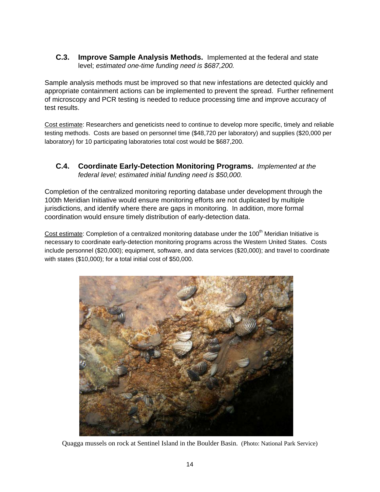**C.3. Improve Sample Analysis Methods.** Implemented at the federal and state level; *estimated one-time funding need is \$687,200.*

Sample analysis methods must be improved so that new infestations are detected quickly and appropriate containment actions can be implemented to prevent the spread. Further refinement of microscopy and PCR testing is needed to reduce processing time and improve accuracy of test results.

Cost estimate: Researchers and geneticists need to continue to develop more specific, timely and reliable testing methods. Costs are based on personnel time (\$48,720 per laboratory) and supplies (\$20,000 per laboratory) for 10 participating laboratories total cost would be \$687,200.

**C.4. Coordinate Early-Detection Monitoring Programs.** *Implemented at the federal level; estimated initial funding need is \$50,000.*

Completion of the centralized monitoring reporting database under development through the 100th Meridian Initiative would ensure monitoring efforts are not duplicated by multiple jurisdictions, and identify where there are gaps in monitoring. In addition, more formal coordination would ensure timely distribution of early-detection data.

Cost estimate: Completion of a centralized monitoring database under the 100<sup>th</sup> Meridian Initiative is necessary to coordinate early-detection monitoring programs across the Western United States. Costs include personnel (\$20,000); equipment, software, and data services (\$20,000); and travel to coordinate with states (\$10,000); for a total initial cost of \$50,000.



Quagga mussels on rock at Sentinel Island in the Boulder Basin. (Photo: National Park Service)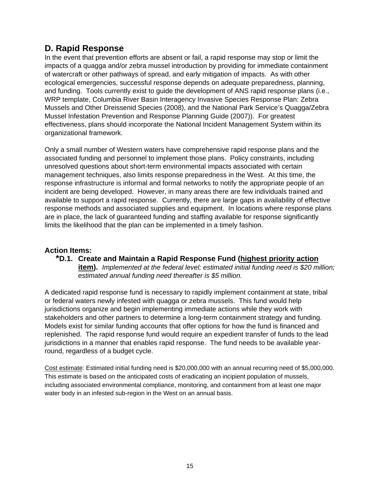### **D. Rapid Response**

In the event that prevention efforts are absent or fail, a rapid response may stop or limit the impacts of a quagga and/or zebra mussel introduction by providing for immediate containment of watercraft or other pathways of spread, and early mitigation of impacts. As with other ecological emergencies, successful response depends on adequate preparedness, planning, and funding. Tools currently exist to guide the development of ANS rapid response plans (i.e., WRP template, Columbia River Basin Interagency Invasive Species Response Plan: Zebra Mussels and Other Dreissenid Species (2008), and the National Park Service's Quagga/Zebra Mussel Infestation Prevention and Response Planning Guide (2007)). For greatest effectiveness, plans should incorporate the National Incident Management System within its organizational framework.

Only a small number of Western waters have comprehensive rapid response plans and the associated funding and personnel to implement those plans. Policy constraints, including unresolved questions about short-term environmental impacts associated with certain management techniques, also limits response preparedness in the West. At this time, the response infrastructure is informal and formal networks to notify the appropriate people of an incident are being developed. However, in many areas there are few individuals trained and available to support a rapid response. Currently, there are large gaps in availability of effective response methods and associated supplies and equipment. In locations where response plans are in place, the lack of guaranteed funding and staffing available for response significantly limits the likelihood that the plan can be implemented in a timely fashion.

#### **Action Items:**

**\*D.1. Create and Maintain a Rapid Response Fund (highest priority action item).** *Implemented at the federal level; estimated initial funding need is \$20 million; estimated annual funding need thereafter is \$5 million.*

A dedicated rapid response fund is necessary to rapidly implement containment at state, tribal or federal waters newly infested with quagga or zebra mussels. This fund would help jurisdictions organize and begin implementing immediate actions while they work with stakeholders and other partners to determine a long-term containment strategy and funding. Models exist for similar funding accounts that offer options for how the fund is financed and replenished. The rapid response fund would require an expedient transfer of funds to the lead jurisdictions in a manner that enables rapid response. The fund needs to be available yearround, regardless of a budget cycle.

Cost estimate: Estimated initial funding need is \$20,000,000 with an annual recurring need of \$5,000,000. This estimate is based on the anticipated costs of eradicating an incipient population of mussels, including associated environmental compliance, monitoring, and containment from at least one major water body in an infested sub-region in the West on an annual basis.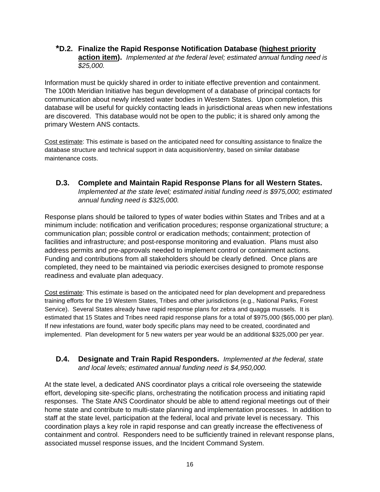#### **\*D.2. Finalize the Rapid Response Notification Database (highest priority action item).** *Implemented at the federal level; estimated annual funding need is \$25,000.*

Information must be quickly shared in order to initiate effective prevention and containment. The 100th Meridian Initiative has begun development of a database of principal contacts for communication about newly infested water bodies in Western States. Upon completion, this database will be useful for quickly contacting leads in jurisdictional areas when new infestations are discovered. This database would not be open to the public; it is shared only among the primary Western ANS contacts.

Cost estimate: This estimate is based on the anticipated need for consulting assistance to finalize the database structure and technical support in data acquisition/entry, based on similar database maintenance costs.

**D.3. Complete and Maintain Rapid Response Plans for all Western States.**  *Implemented at the state level; estimated initial funding need is \$975,000; estimated annual funding need is \$325,000.*

Response plans should be tailored to types of water bodies within States and Tribes and at a minimum include: notification and verification procedures; response organizational structure; a communication plan; possible control or eradication methods; containment; protection of facilities and infrastructure; and post-response monitoring and evaluation. Plans must also address permits and pre-approvals needed to implement control or containment actions. Funding and contributions from all stakeholders should be clearly defined. Once plans are completed, they need to be maintained via periodic exercises designed to promote response readiness and evaluate plan adequacy.

Cost estimate: This estimate is based on the anticipated need for plan development and preparedness training efforts for the 19 Western States, Tribes and other jurisdictions (e.g., National Parks, Forest Service). Several States already have rapid response plans for zebra and quagga mussels. It is estimated that 15 States and Tribes need rapid response plans for a total of \$975,000 (\$65,000 per plan). If new infestations are found, water body specific plans may need to be created, coordinated and implemented. Plan development for 5 new waters per year would be an additional \$325,000 per year.

#### **D.4. Designate and Train Rapid Responders.** *Implemented at the federal, state and local levels; estimated annual funding need is \$4,950,000.*

At the state level, a dedicated ANS coordinator plays a critical role overseeing the statewide effort, developing site-specific plans, orchestrating the notification process and initiating rapid responses. The State ANS Coordinator should be able to attend regional meetings out of their home state and contribute to multi-state planning and implementation processes. In addition to staff at the state level, participation at the federal, local and private level is necessary. This coordination plays a key role in rapid response and can greatly increase the effectiveness of containment and control. Responders need to be sufficiently trained in relevant response plans, associated mussel response issues, and the Incident Command System.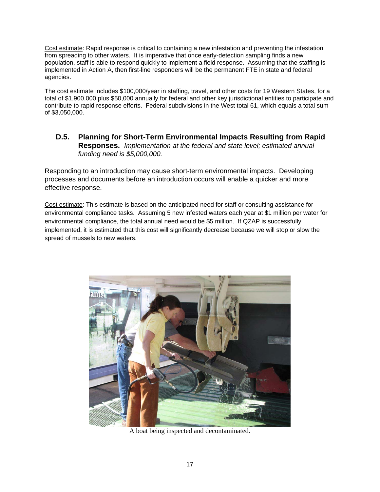Cost estimate: Rapid response is critical to containing a new infestation and preventing the infestation from spreading to other waters. It is imperative that once early-detection sampling finds a new population, staff is able to respond quickly to implement a field response. Assuming that the staffing is implemented in Action A, then first-line responders will be the permanent FTE in state and federal agencies.

The cost estimate includes \$100,000/year in staffing, travel, and other costs for 19 Western States, for a total of \$1,900,000 plus \$50,000 annually for federal and other key jurisdictional entities to participate and contribute to rapid response efforts. Federal subdivisions in the West total 61, which equals a total sum of \$3,050,000.

#### **D.5. Planning for Short-Term Environmental Impacts Resulting from Rapid Responses.** *Implementation at the federal and state level; estimated annual funding need is \$5,000,000.*

Responding to an introduction may cause short-term environmental impacts. Developing processes and documents before an introduction occurs will enable a quicker and more effective response.

Cost estimate: This estimate is based on the anticipated need for staff or consulting assistance for environmental compliance tasks. Assuming 5 new infested waters each year at \$1 million per water for environmental compliance, the total annual need would be \$5 million. If QZAP is successfully implemented, it is estimated that this cost will significantly decrease because we will stop or slow the spread of mussels to new waters.



A boat being inspected and decontaminated.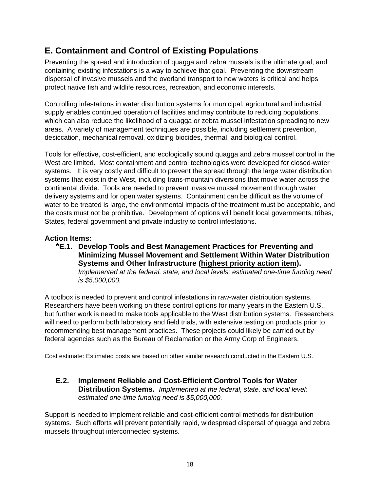### **E. Containment and Control of Existing Populations**

Preventing the spread and introduction of quagga and zebra mussels is the ultimate goal, and containing existing infestations is a way to achieve that goal. Preventing the downstream dispersal of invasive mussels and the overland transport to new waters is critical and helps protect native fish and wildlife resources, recreation, and economic interests.

Controlling infestations in water distribution systems for municipal, agricultural and industrial supply enables continued operation of facilities and may contribute to reducing populations, which can also reduce the likelihood of a quagga or zebra mussel infestation spreading to new areas. A variety of management techniques are possible, including settlement prevention, desiccation, mechanical removal, oxidizing biocides, thermal, and biological control.

Tools for effective, cost-efficient, and ecologically sound quagga and zebra mussel control in the West are limited. Most containment and control technologies were developed for closed-water systems. It is very costly and difficult to prevent the spread through the large water distribution systems that exist in the West, including trans-mountain diversions that move water across the continental divide. Tools are needed to prevent invasive mussel movement through water delivery systems and for open water systems. Containment can be difficult as the volume of water to be treated is large, the environmental impacts of the treatment must be acceptable, and the costs must not be prohibitive. Development of options will benefit local governments, tribes, States, federal government and private industry to control infestations.

#### **Action Items:**

**\*E.1. Develop Tools and Best Management Practices for Preventing and Minimizing Mussel Movement and Settlement Within Water Distribution Systems and Other Infrastructure (highest priority action item).** *Implemented at the federal, state, and local levels; estimated one-time funding need is \$5,000,000.*

A toolbox is needed to prevent and control infestations in raw-water distribution systems. Researchers have been working on these control options for many years in the Eastern U.S., but further work is need to make tools applicable to the West distribution systems. Researchers will need to perform both laboratory and field trials, with extensive testing on products prior to recommending best management practices. These projects could likely be carried out by federal agencies such as the Bureau of Reclamation or the Army Corp of Engineers.

Cost estimate: Estimated costs are based on other similar research conducted in the Eastern U.S.

**E.2. Implement Reliable and Cost-Efficient Control Tools for Water Distribution Systems.** *Implemented at the federal, state, and local level; estimated one-time funding need is \$5,000,000.*

Support is needed to implement reliable and cost-efficient control methods for distribution systems. Such efforts will prevent potentially rapid, widespread dispersal of quagga and zebra mussels throughout interconnected systems.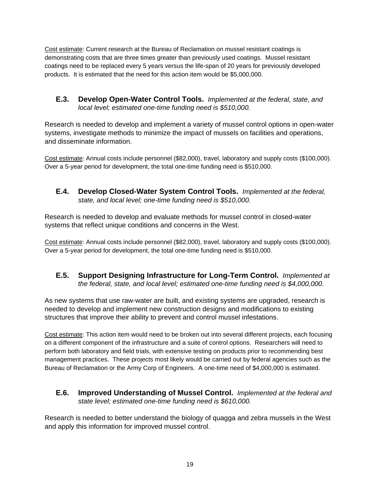Cost estimate: Current research at the Bureau of Reclamation on mussel resistant coatings is demonstrating costs that are three times greater than previously used coatings. Mussel resistant coatings need to be replaced every 5 years versus the life-span of 20 years for previously developed products. It is estimated that the need for this action item would be \$5,000,000.

**E.3. Develop Open-Water Control Tools.** *Implemented at the federal, state, and local level; estimated one-time funding need is \$510,000.*

Research is needed to develop and implement a variety of mussel control options in open-water systems, investigate methods to minimize the impact of mussels on facilities and operations, and disseminate information.

Cost estimate: Annual costs include personnel (\$82,000), travel, laboratory and supply costs (\$100,000). Over a 5-year period for development, the total one-time funding need is \$510,000.

**E.4. Develop Closed-Water System Control Tools.** *Implemented at the federal, state, and local level; one-time funding need is \$510,000.*

Research is needed to develop and evaluate methods for mussel control in closed-water systems that reflect unique conditions and concerns in the West.

Cost estimate: Annual costs include personnel (\$82,000), travel, laboratory and supply costs (\$100,000). Over a 5-year period for development, the total one-time funding need is \$510,000.

**E.5. Support Designing Infrastructure for Long-Term Control.** *Implemented at the federal, state, and local level; estimated one-time funding need is \$4,000,000.*

As new systems that use raw-water are built, and existing systems are upgraded, research is needed to develop and implement new construction designs and modifications to existing structures that improve their ability to prevent and control mussel infestations.

Cost estimate: This action item would need to be broken out into several different projects, each focusing on a different component of the infrastructure and a suite of control options. Researchers will need to perform both laboratory and field trials, with extensive testing on products prior to recommending best management practices. These projects most likely would be carried out by federal agencies such as the Bureau of Reclamation or the Army Corp of Engineers. A one-time need of \$4,000,000 is estimated.

**E.6. Improved Understanding of Mussel Control.** *Implemented at the federal and state level; estimated one-time funding need is \$610,000.*

Research is needed to better understand the biology of quagga and zebra mussels in the West and apply this information for improved mussel control.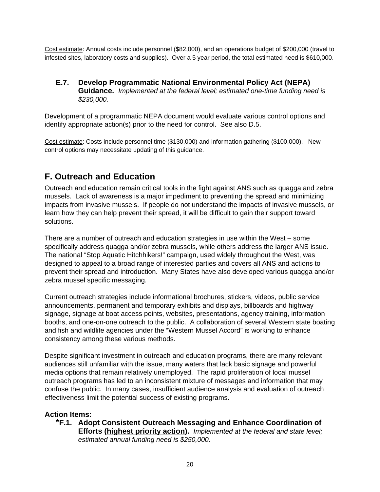Cost estimate: Annual costs include personnel (\$82,000), and an operations budget of \$200,000 (travel to infested sites, laboratory costs and supplies). Over a 5 year period, the total estimated need is \$610,000.

#### **E.7. Develop Programmatic National Environmental Policy Act (NEPA) Guidance.** *Implemented at the federal level; estimated one-time funding need is \$230,000.*

Development of a programmatic NEPA document would evaluate various control options and identify appropriate action(s) prior to the need for control. See also D.5.

Cost estimate: Costs include personnel time (\$130,000) and information gathering (\$100,000). New control options may necessitate updating of this guidance.

### **F. Outreach and Education**

Outreach and education remain critical tools in the fight against ANS such as quagga and zebra mussels. Lack of awareness is a major impediment to preventing the spread and minimizing impacts from invasive mussels. If people do not understand the impacts of invasive mussels, or learn how they can help prevent their spread, it will be difficult to gain their support toward solutions.

There are a number of outreach and education strategies in use within the West – some specifically address quagga and/or zebra mussels, while others address the larger ANS issue. The national "Stop Aquatic Hitchhikers!" campaign, used widely throughout the West, was designed to appeal to a broad range of interested parties and covers all ANS and actions to prevent their spread and introduction. Many States have also developed various quagga and/or zebra mussel specific messaging.

Current outreach strategies include informational brochures, stickers, videos, public service announcements, permanent and temporary exhibits and displays, billboards and highway signage, signage at boat access points, websites, presentations, agency training, information booths, and one-on-one outreach to the public. A collaboration of several Western state boating and fish and wildlife agencies under the "Western Mussel Accord" is working to enhance consistency among these various methods.

Despite significant investment in outreach and education programs, there are many relevant audiences still unfamiliar with the issue, many waters that lack basic signage and powerful media options that remain relatively unemployed. The rapid proliferation of local mussel outreach programs has led to an inconsistent mixture of messages and information that may confuse the public. In many cases, insufficient audience analysis and evaluation of outreach effectiveness limit the potential success of existing programs.

#### **Action Items:**

**\*F.1. Adopt Consistent Outreach Messaging and Enhance Coordination of Efforts (highest priority action).** *Implemented at the federal and state level; estimated annual funding need is \$250,000.*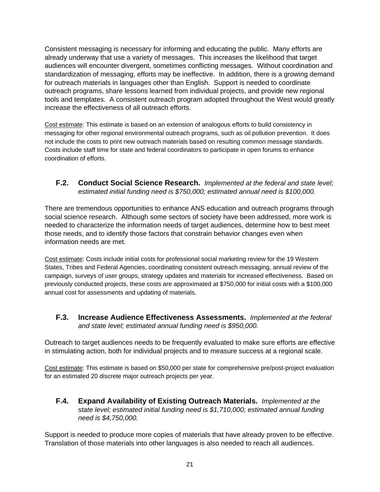Consistent messaging is necessary for informing and educating the public. Many efforts are already underway that use a variety of messages. This increases the likelihood that target audiences will encounter divergent, sometimes conflicting messages. Without coordination and standardization of messaging, efforts may be ineffective. In addition, there is a growing demand for outreach materials in languages other than English. Support is needed to coordinate outreach programs, share lessons learned from individual projects, and provide new regional tools and templates. A consistent outreach program adopted throughout the West would greatly increase the effectiveness of all outreach efforts.

Cost estimate: This estimate is based on an extension of analogous efforts to build consistency in messaging for other regional environmental outreach programs, such as oil pollution prevention. It does not include the costs to print new outreach materials based on resulting common message standards. Costs include staff time for state and federal coordinators to participate in open forums to enhance coordination of efforts.

**F.2. Conduct Social Science Research.** *Implemented at the federal and state level; estimated initial funding need is \$750,000; estimated annual need is \$100,000.*

There are tremendous opportunities to enhance ANS education and outreach programs through social science research. Although some sectors of society have been addressed, more work is needed to characterize the information needs of target audiences, determine how to best meet those needs, and to identify those factors that constrain behavior changes even when information needs are met.

Cost estimate: Costs include initial costs for professional social marketing review for the 19 Western States, Tribes and Federal Agencies, coordinating consistent outreach messaging, annual review of the campaign, surveys of user groups, strategy updates and materials for increased effectiveness. Based on previously conducted projects, these costs are approximated at \$750,000 for initial costs with a \$100,000 annual cost for assessments and updating of materials.

**F.3. Increase Audience Effectiveness Assessments.** *Implemented at the federal and state level; estimated annual funding need is \$950,000.*

Outreach to target audiences needs to be frequently evaluated to make sure efforts are effective in stimulating action, both for individual projects and to measure success at a regional scale.

Cost estimate: This estimate is based on \$50,000 per state for comprehensive pre/post-project evaluation for an estimated 20 discrete major outreach projects per year.

**F.4. Expand Availability of Existing Outreach Materials.** *Implemented at the state level; estimated initial funding need is \$1,710,000; estimated annual funding need is \$4,750,000.*

Support is needed to produce more copies of materials that have already proven to be effective. Translation of those materials into other languages is also needed to reach all audiences.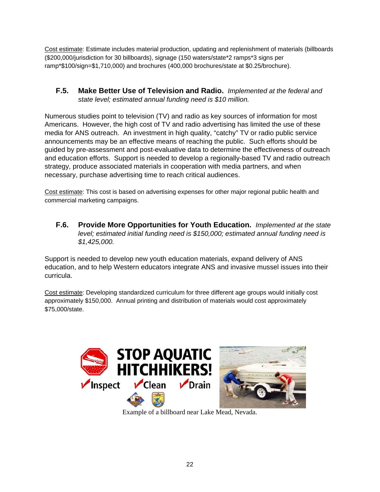Cost estimate: Estimate includes material production, updating and replenishment of materials (billboards (\$200,000/jurisdiction for 30 billboards), signage (150 waters/state\*2 ramps\*3 signs per ramp\*\$100/sign=\$1,710,000) and brochures (400,000 brochures/state at \$0.25/brochure).

**F.5. Make Better Use of Television and Radio.** *Implemented at the federal and state level; estimated annual funding need is \$10 million.*

Numerous studies point to television (TV) and radio as key sources of information for most Americans. However, the high cost of TV and radio advertising has limited the use of these media for ANS outreach. An investment in high quality, "catchy" TV or radio public service announcements may be an effective means of reaching the public. Such efforts should be guided by pre-assessment and post-evaluative data to determine the effectiveness of outreach and education efforts. Support is needed to develop a regionally-based TV and radio outreach strategy, produce associated materials in cooperation with media partners, and when necessary, purchase advertising time to reach critical audiences.

Cost estimate: This cost is based on advertising expenses for other major regional public health and commercial marketing campaigns.

**F.6. Provide More Opportunities for Youth Education.** *Implemented at the state level; estimated initial funding need is \$150,000; estimated annual funding need is \$1,425,000.*

Support is needed to develop new youth education materials, expand delivery of ANS education, and to help Western educators integrate ANS and invasive mussel issues into their curricula.

Cost estimate: Developing standardized curriculum for three different age groups would initially cost approximately \$150,000. Annual printing and distribution of materials would cost approximately \$75,000/state.



Example of a billboard near Lake Mead, Nevada.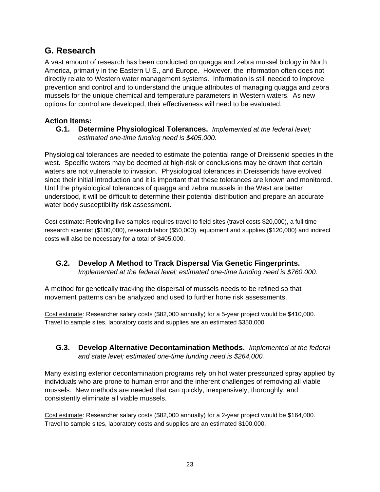### **G. Research**

A vast amount of research has been conducted on quagga and zebra mussel biology in North America, primarily in the Eastern U.S., and Europe. However, the information often does not directly relate to Western water management systems. Information is still needed to improve prevention and control and to understand the unique attributes of managing quagga and zebra mussels for the unique chemical and temperature parameters in Western waters. As new options for control are developed, their effectiveness will need to be evaluated.

#### **Action Items:**

**G.1. Determine Physiological Tolerances.** *Implemented at the federal level; estimated one-time funding need is \$405,000.*

Physiological tolerances are needed to estimate the potential range of Dreissenid species in the west. Specific waters may be deemed at high-risk or conclusions may be drawn that certain waters are not vulnerable to invasion. Physiological tolerances in Dreissenids have evolved since their initial introduction and it is important that these tolerances are known and monitored. Until the physiological tolerances of quagga and zebra mussels in the West are better understood, it will be difficult to determine their potential distribution and prepare an accurate water body susceptibility risk assessment.

Cost estimate: Retrieving live samples requires travel to field sites (travel costs \$20,000), a full time research scientist (\$100,000), research labor (\$50,000), equipment and supplies (\$120,000) and indirect costs will also be necessary for a total of \$405,000.

**G.2. Develop A Method to Track Dispersal Via Genetic Fingerprints.**  *Implemented at the federal level; estimated one-time funding need is \$760,000.*

A method for genetically tracking the dispersal of mussels needs to be refined so that movement patterns can be analyzed and used to further hone risk assessments.

Cost estimate: Researcher salary costs (\$82,000 annually) for a 5-year project would be \$410,000. Travel to sample sites, laboratory costs and supplies are an estimated \$350,000.

**G.3. Develop Alternative Decontamination Methods.** *Implemented at the federal and state level; estimated one-time funding need is \$264,000.*

Many existing exterior decontamination programs rely on hot water pressurized spray applied by individuals who are prone to human error and the inherent challenges of removing all viable mussels. New methods are needed that can quickly, inexpensively, thoroughly, and consistently eliminate all viable mussels.

Cost estimate: Researcher salary costs (\$82,000 annually) for a 2-year project would be \$164,000. Travel to sample sites, laboratory costs and supplies are an estimated \$100,000.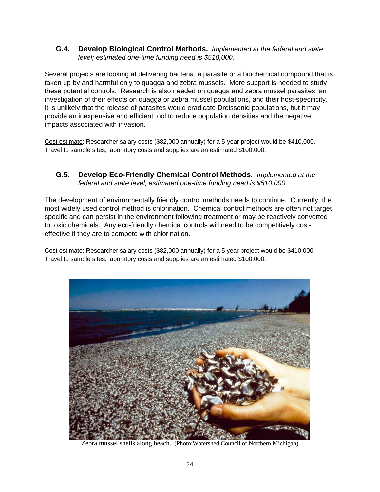**G.4. Develop Biological Control Methods.** *Implemented at the federal and state level; estimated one-time funding need is \$510,000.*

Several projects are looking at delivering bacteria, a parasite or a biochemical compound that is taken up by and harmful only to quagga and zebra mussels. More support is needed to study these potential controls. Research is also needed on quagga and zebra mussel parasites, an investigation of their effects on quagga or zebra mussel populations, and their host-specificity. It is unlikely that the release of parasites would eradicate Dreissenid populations, but it may provide an inexpensive and efficient tool to reduce population densities and the negative impacts associated with invasion.

Cost estimate: Researcher salary costs (\$82,000 annually) for a 5-year project would be \$410,000. Travel to sample sites, laboratory costs and supplies are an estimated \$100,000.

**G.5. Develop Eco-Friendly Chemical Control Methods.** *Implemented at the federal and state level; estimated one-time funding need is \$510,000.*

The development of environmentally friendly control methods needs to continue. Currently, the most widely used control method is chlorination. Chemical control methods are often not target specific and can persist in the environment following treatment or may be reactively converted to toxic chemicals. Any eco-friendly chemical controls will need to be competitively costeffective if they are to compete with chlorination.

Cost estimate: Researcher salary costs (\$82,000 annually) for a 5 year project would be \$410,000. Travel to sample sites, laboratory costs and supplies are an estimated \$100,000.



Zebra mussel shells along beach. (Photo:Watershed Council of Northern Michigan)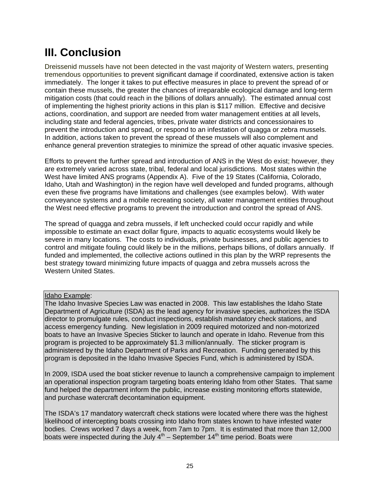# **III. Conclusion**

Dreissenid mussels have not been detected in the vast majority of Western waters, presenting tremendous opportunities to prevent significant damage if coordinated, extensive action is taken immediately. The longer it takes to put effective measures in place to prevent the spread of or contain these mussels, the greater the chances of irreparable ecological damage and long-term mitigation costs (that could reach in the billions of dollars annually). The estimated annual cost of implementing the highest priority actions in this plan is \$117 million. Effective and decisive actions, coordination, and support are needed from water management entities at all levels, including state and federal agencies, tribes, private water districts and concessionaires to prevent the introduction and spread, or respond to an infestation of quagga or zebra mussels. In addition, actions taken to prevent the spread of these mussels will also complement and enhance general prevention strategies to minimize the spread of other aquatic invasive species.

Efforts to prevent the further spread and introduction of ANS in the West do exist; however, they are extremely varied across state, tribal, federal and local jurisdictions. Most states within the West have limited ANS programs (Appendix A). Five of the 19 States (California, Colorado, Idaho, Utah and Washington) in the region have well developed and funded programs, although even these five programs have limitations and challenges (see examples below). With water conveyance systems and a mobile recreating society, all water management entities throughout the West need effective programs to prevent the introduction and control the spread of ANS.

The spread of quagga and zebra mussels, if left unchecked could occur rapidly and while impossible to estimate an exact dollar figure, impacts to aquatic ecosystems would likely be severe in many locations. The costs to individuals, private businesses, and public agencies to control and mitigate fouling could likely be in the millions, perhaps billions, of dollars annually. If funded and implemented, the collective actions outlined in this plan by the WRP represents the best strategy toward minimizing future impacts of quagga and zebra mussels across the Western United States.

#### Idaho Example:

The Idaho Invasive Species Law was enacted in 2008. This law establishes the Idaho State Department of Agriculture (ISDA) as the lead agency for invasive species, authorizes the ISDA director to promulgate rules, conduct inspections, establish mandatory check stations, and access emergency funding. New legislation in 2009 required motorized and non-motorized boats to have an Invasive Species Sticker to launch and operate in Idaho. Revenue from this program is projected to be approximately \$1.3 million/annually. The sticker program is administered by the Idaho Department of Parks and Recreation. Funding generated by this program is deposited in the Idaho Invasive Species Fund, which is administered by ISDA.

In 2009, ISDA used the boat sticker revenue to launch a comprehensive campaign to implement an operational inspection program targeting boats entering Idaho from other States. That same fund helped the department inform the public, increase existing monitoring efforts statewide, and purchase watercraft decontamination equipment.

The ISDA's 17 mandatory watercraft check stations were located where there was the highest likelihood of intercepting boats crossing into Idaho from states known to have infested water bodies. Crews worked 7 days a week, from 7am to 7pm. It is estimated that more than 12,000 boats were inspected during the July  $4<sup>th</sup>$  – September  $14<sup>th</sup>$  time period. Boats were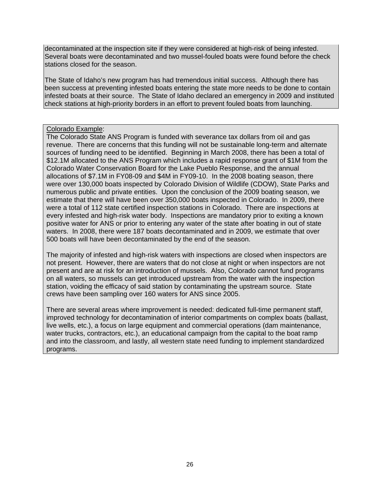decontaminated at the inspection site if they were considered at high-risk of being infested. Several boats were decontaminated and two mussel-fouled boats were found before the check stations closed for the season.

The State of Idaho's new program has had tremendous initial success. Although there has been success at preventing infested boats entering the state more needs to be done to contain infested boats at their source. The State of Idaho declared an emergency in 2009 and instituted check stations at high-priority borders in an effort to prevent fouled boats from launching.

#### Colorado Example:

The Colorado State ANS Program is funded with severance tax dollars from oil and gas revenue. There are concerns that this funding will not be sustainable long-term and alternate sources of funding need to be identified. Beginning in March 2008, there has been a total of \$12.1M allocated to the ANS Program which includes a rapid response grant of \$1M from the Colorado Water Conservation Board for the Lake Pueblo Response, and the annual allocations of \$7.1M in FY08-09 and \$4M in FY09-10. In the 2008 boating season, there were over 130,000 boats inspected by Colorado Division of Wildlife (CDOW), State Parks and numerous public and private entities. Upon the conclusion of the 2009 boating season, we estimate that there will have been over 350,000 boats inspected in Colorado. In 2009, there were a total of 112 state certified inspection stations in Colorado. There are inspections at every infested and high-risk water body. Inspections are mandatory prior to exiting a known positive water for ANS or prior to entering any water of the state after boating in out of state waters. In 2008, there were 187 boats decontaminated and in 2009, we estimate that over 500 boats will have been decontaminated by the end of the season.

The majority of infested and high-risk waters with inspections are closed when inspectors are not present. However, there are waters that do not close at night or when inspectors are not present and are at risk for an introduction of mussels. Also, Colorado cannot fund programs on all waters, so mussels can get introduced upstream from the water with the inspection station, voiding the efficacy of said station by contaminating the upstream source. State crews have been sampling over 160 waters for ANS since 2005.

There are several areas where improvement is needed: dedicated full-time permanent staff, improved technology for decontamination of interior compartments on complex boats (ballast, live wells, etc.), a focus on large equipment and commercial operations (dam maintenance, water trucks, contractors, etc.), an educational campaign from the capital to the boat ramp and into the classroom, and lastly, all western state need funding to implement standardized programs.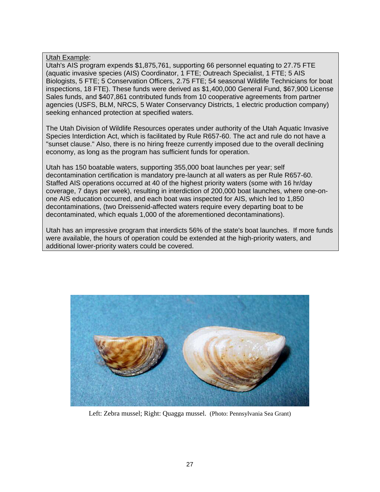#### Utah Example:

Utah's AIS program expends \$1,875,761, supporting 66 personnel equating to 27.75 FTE (aquatic invasive species (AIS) Coordinator, 1 FTE; Outreach Specialist, 1 FTE; 5 AIS Biologists, 5 FTE; 5 Conservation Officers, 2.75 FTE; 54 seasonal Wildlife Technicians for boat inspections, 18 FTE). These funds were derived as \$1,400,000 General Fund, \$67,900 License Sales funds, and \$407,861 contributed funds from 10 cooperative agreements from partner agencies (USFS, BLM, NRCS, 5 Water Conservancy Districts, 1 electric production company) seeking enhanced protection at specified waters.

The Utah Division of Wildlife Resources operates under authority of the Utah Aquatic Invasive Species Interdiction Act, which is facilitated by Rule R657-60. The act and rule do not have a "sunset clause." Also, there is no hiring freeze currently imposed due to the overall declining economy, as long as the program has sufficient funds for operation.

Utah has 150 boatable waters, supporting 355,000 boat launches per year; self decontamination certification is mandatory pre-launch at all waters as per Rule R657-60. Staffed AIS operations occurred at 40 of the highest priority waters (some with 16 hr/day coverage, 7 days per week), resulting in interdiction of 200,000 boat launches, where one-onone AIS education occurred, and each boat was inspected for AIS, which led to 1,850 decontaminations, (two Dreissenid-affected waters require every departing boat to be decontaminated, which equals 1,000 of the aforementioned decontaminations).

Utah has an impressive program that interdicts 56% of the state's boat launches. If more funds were available, the hours of operation could be extended at the high-priority waters, and additional lower-priority waters could be covered.



Left: Zebra mussel; Right: Quagga mussel. (Photo: Pennsylvania Sea Grant)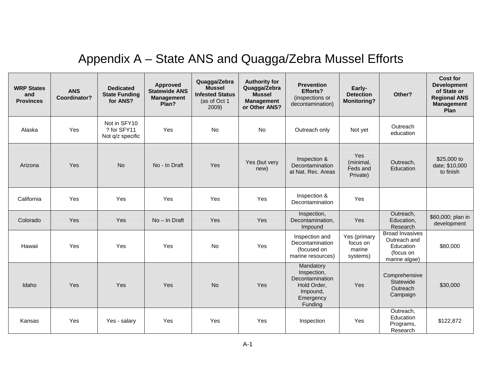# Appendix A – State ANS and Quagga/Zebra Mussel Efforts

| <b>WRP States</b><br>and<br><b>Provinces</b> | <b>ANS</b><br>Coordinator? | <b>Dedicated</b><br><b>State Funding</b><br>for ANS? | <b>Approved</b><br><b>Statewide ANS</b><br><b>Management</b><br>Plan? | Quagga/Zebra<br><b>Mussel</b><br><b>Infested Status</b><br>(as of Oct 1<br>2009) | <b>Authority for</b><br>Quagga/Zebra<br><b>Mussel</b><br><b>Management</b><br>or Other ANS? | <b>Prevention</b><br>Efforts?<br>(inspections or<br>decontamination)                           | Early-<br><b>Detection</b><br><b>Monitoring?</b> | Other?                                                                            | <b>Cost for</b><br><b>Development</b><br>of State or<br><b>Regional ANS</b><br><b>Management</b><br>Plan |
|----------------------------------------------|----------------------------|------------------------------------------------------|-----------------------------------------------------------------------|----------------------------------------------------------------------------------|---------------------------------------------------------------------------------------------|------------------------------------------------------------------------------------------------|--------------------------------------------------|-----------------------------------------------------------------------------------|----------------------------------------------------------------------------------------------------------|
| Alaska                                       | Yes                        | Not in SFY10<br>? for SFY11<br>Not q/z specific      | Yes                                                                   | No                                                                               | No                                                                                          | Outreach only                                                                                  | Not yet                                          | Outreach<br>education                                                             |                                                                                                          |
| Arizona                                      | Yes                        | <b>No</b>                                            | No - In Draft                                                         | Yes                                                                              | Yes (but very<br>new)                                                                       | Inspection &<br>Decontamination<br>at Nat. Rec. Areas                                          | Yes<br>(minimal,<br>Feds and<br>Private)         | Outreach,<br>Education                                                            | \$25,000 to<br>date; \$10,000<br>to finish                                                               |
| California                                   | Yes                        | Yes                                                  | Yes                                                                   | Yes                                                                              | Yes                                                                                         | Inspection &<br>Decontamination                                                                | Yes                                              |                                                                                   |                                                                                                          |
| Colorado                                     | Yes                        | Yes                                                  | No - In Draft                                                         | Yes                                                                              | Yes                                                                                         | Inspection,<br>Decontamination,<br>Impound                                                     | Yes                                              | Outreach,<br>Education,<br>Research                                               | \$60,000; plan in<br>development                                                                         |
| Hawaii                                       | Yes                        | Yes                                                  | Yes                                                                   | No                                                                               | Yes                                                                                         | Inspection and<br>Decontamination<br>(focused on<br>marine resources)                          | Yes (primary<br>focus on<br>marine<br>systems)   | <b>Broad Invasives</b><br>Outreach and<br>Education<br>(focus on<br>marine algae) | \$80,000                                                                                                 |
| Idaho                                        | Yes                        | Yes                                                  | Yes                                                                   | <b>No</b>                                                                        | Yes                                                                                         | Mandatory<br>Inspection,<br>Decontamination<br>Hold Order,<br>Impound,<br>Emergency<br>Funding | Yes                                              | Comprehensive<br>Statewide<br>Outreach<br>Campaign                                | \$30,000                                                                                                 |
| Kansas                                       | Yes                        | Yes - salary                                         | Yes                                                                   | Yes                                                                              | Yes                                                                                         | Inspection                                                                                     | Yes                                              | Outreach,<br>Education<br>Programs,<br>Research                                   | \$122,872                                                                                                |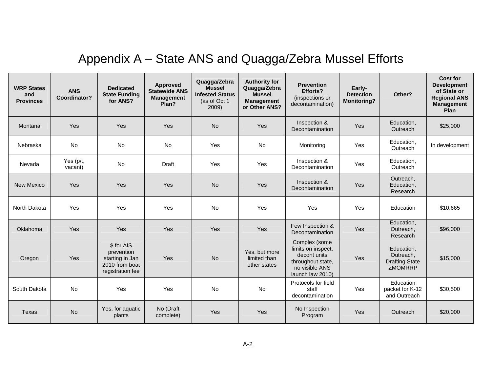# Appendix A – State ANS and Quagga/Zebra Mussel Efforts

| <b>WRP States</b><br>and<br><b>Provinces</b> | <b>ANS</b><br>Coordinator? | <b>Dedicated</b><br><b>State Funding</b><br>for ANS?                              | Approved<br><b>Statewide ANS</b><br><b>Management</b><br>Plan? | Quagga/Zebra<br><b>Mussel</b><br><b>Infested Status</b><br>(as of Oct 1<br>2009) | <b>Authority for</b><br>Quagga/Zebra<br><b>Mussel</b><br><b>Management</b><br>or Other ANS? | <b>Prevention</b><br>Efforts?<br>(inspections or<br>decontamination)                                           | Early-<br><b>Detection</b><br><b>Monitoring?</b> | Other?                                                             | Cost for<br><b>Development</b><br>of State or<br><b>Regional ANS</b><br><b>Management</b><br>Plan |
|----------------------------------------------|----------------------------|-----------------------------------------------------------------------------------|----------------------------------------------------------------|----------------------------------------------------------------------------------|---------------------------------------------------------------------------------------------|----------------------------------------------------------------------------------------------------------------|--------------------------------------------------|--------------------------------------------------------------------|---------------------------------------------------------------------------------------------------|
| Montana                                      | Yes                        | Yes                                                                               | Yes                                                            | <b>No</b>                                                                        | Yes                                                                                         | Inspection &<br>Decontamination                                                                                | Yes                                              | Education,<br>Outreach                                             | \$25,000                                                                                          |
| Nebraska                                     | <b>No</b>                  | <b>No</b>                                                                         | No                                                             | Yes                                                                              | <b>No</b>                                                                                   | Monitoring                                                                                                     | Yes                                              | Education.<br>Outreach                                             | In development                                                                                    |
| Nevada                                       | Yes (p/t,<br>vacant)       | <b>No</b>                                                                         | Draft                                                          | Yes                                                                              | Yes                                                                                         | Inspection &<br>Decontamination                                                                                | Yes                                              | Education,<br>Outreach                                             |                                                                                                   |
| <b>New Mexico</b>                            | Yes                        | Yes                                                                               | Yes                                                            | <b>No</b>                                                                        | Yes                                                                                         | Inspection &<br>Decontamination                                                                                | Yes                                              | Outreach,<br>Education,<br>Research                                |                                                                                                   |
| North Dakota                                 | Yes                        | Yes                                                                               | Yes                                                            | <b>No</b>                                                                        | Yes                                                                                         | Yes                                                                                                            | Yes                                              | Education                                                          | \$10,665                                                                                          |
| Oklahoma                                     | Yes                        | Yes                                                                               | Yes                                                            | Yes                                                                              | Yes                                                                                         | Few Inspection &<br>Decontamination                                                                            | Yes                                              | Education,<br>Outreach,<br>Research                                | \$96,000                                                                                          |
| Oregon                                       | Yes                        | \$ for AIS<br>prevention<br>starting in Jan<br>2010 from boat<br>registration fee | Yes                                                            | <b>No</b>                                                                        | Yes, but more<br>limited than<br>other states                                               | Complex (some<br>limits on inspect,<br>decont units<br>throughout state,<br>no visible ANS<br>launch law 2010) | Yes                                              | Education.<br>Outreach,<br><b>Drafting State</b><br><b>ZMOMRRP</b> | \$15,000                                                                                          |
| South Dakota                                 | No                         | Yes                                                                               | Yes                                                            | No                                                                               | No                                                                                          | Protocols for field<br>staff<br>decontamination                                                                | Yes                                              | Education<br>packet for K-12<br>and Outreach                       | \$30,500                                                                                          |
| <b>Texas</b>                                 | <b>No</b>                  | Yes, for aquatic<br>plants                                                        | No (Draft<br>complete)                                         | Yes                                                                              | Yes                                                                                         | No Inspection<br>Program                                                                                       | Yes                                              | Outreach                                                           | \$20,000                                                                                          |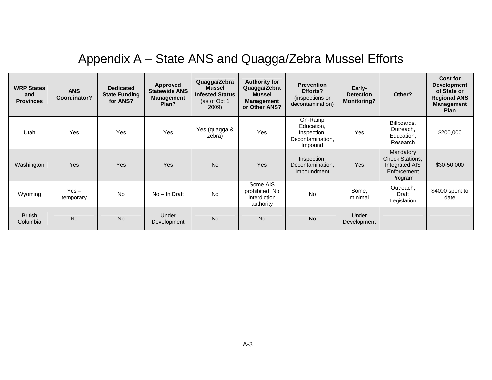# Appendix A – State ANS and Quagga/Zebra Mussel Efforts

| <b>WRP States</b><br>and<br><b>Provinces</b> | <b>ANS</b><br>Coordinator? | <b>Dedicated</b><br><b>State Funding</b><br>for ANS? | Approved<br><b>Statewide ANS</b><br><b>Management</b><br>Plan? | Quagga/Zebra<br><b>Mussel</b><br><b>Infested Status</b><br>(as of Oct 1<br>2009) | <b>Authority for</b><br>Quagga/Zebra<br><b>Mussel</b><br><b>Management</b><br>or Other ANS? | <b>Prevention</b><br>Efforts?<br>(inspections or<br>decontamination) | Early-<br><b>Detection</b><br><b>Monitoring?</b> | Other?                                                                          | Cost for<br><b>Development</b><br>of State or<br><b>Regional ANS</b><br><b>Management</b><br><b>Plan</b> |
|----------------------------------------------|----------------------------|------------------------------------------------------|----------------------------------------------------------------|----------------------------------------------------------------------------------|---------------------------------------------------------------------------------------------|----------------------------------------------------------------------|--------------------------------------------------|---------------------------------------------------------------------------------|----------------------------------------------------------------------------------------------------------|
| Utah                                         | Yes                        | Yes                                                  | Yes                                                            | Yes (quagga &<br>zebra)                                                          | Yes                                                                                         | On-Ramp<br>Education,<br>Inspection,<br>Decontamination,<br>Impound  | Yes                                              | Billboards,<br>Outreach,<br>Education,<br>Research                              | \$200,000                                                                                                |
| Washington                                   | <b>Yes</b>                 | <b>Yes</b>                                           | <b>Yes</b>                                                     | <b>No</b>                                                                        | <b>Yes</b>                                                                                  | Inspection,<br>Decontamination,<br>Impoundment                       | Yes                                              | Mandatory<br><b>Check Stations;</b><br>Integrated AIS<br>Enforcement<br>Program | \$30-50,000                                                                                              |
| Wyoming                                      | $Yes -$<br>temporary       | <b>No</b>                                            | No - In Draft                                                  | <b>No</b>                                                                        | Some AIS<br>prohibited; No<br><i>interdiction</i><br>authority                              | <b>No</b>                                                            | Some,<br>minimal                                 | Outreach,<br>Draft<br>Legislation                                               | \$4000 spent to<br>date                                                                                  |
| <b>British</b><br>Columbia                   | <b>No</b>                  | <b>No</b>                                            | Under<br>Development                                           | <b>No</b>                                                                        | <b>No</b>                                                                                   | <b>No</b>                                                            | Under<br>Development                             |                                                                                 |                                                                                                          |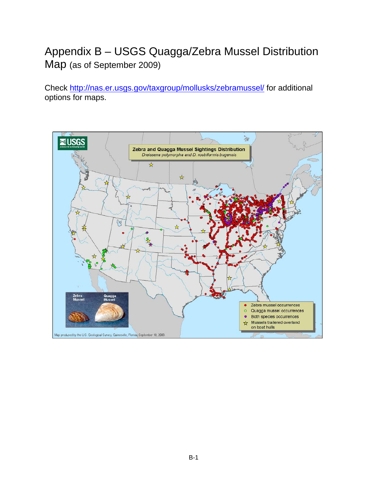## Appendix B – USGS Quagga/Zebra Mussel Distribution Map (as of September 2009)

Check http://nas.er.usgs.gov/taxgroup/mollusks/zebramussel/ for additional options for maps.

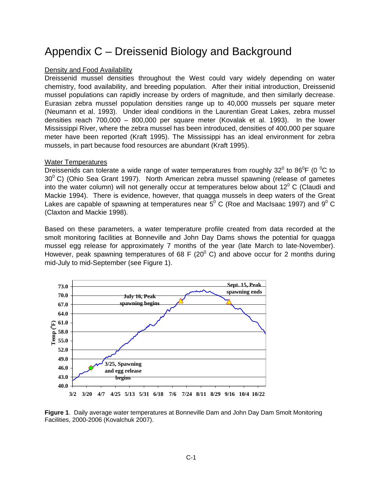### Appendix C – Dreissenid Biology and Background

#### Density and Food Availability

Dreissenid mussel densities throughout the West could vary widely depending on water chemistry, food availability, and breeding population. After their initial introduction, Dreissenid mussel populations can rapidly increase by orders of magnitude, and then similarly decrease. Eurasian zebra mussel population densities range up to 40,000 mussels per square meter (Neumann et al. 1993). Under ideal conditions in the Laurentian Great Lakes, zebra mussel densities reach 700,000 – 800,000 per square meter (Kovalak et al. 1993). In the lower Mississippi River, where the zebra mussel has been introduced, densities of 400,000 per square meter have been reported (Kraft 1995). The Mississippi has an ideal environment for zebra mussels, in part because food resources are abundant (Kraft 1995).

#### Water Temperatures

Dreissenids can tolerate a wide range of water temperatures from roughly 32<sup>0</sup> to 86<sup>0</sup>F (0<sup>o</sup>C to  $30^{\circ}$  C) (Ohio Sea Grant 1997). North American zebra mussel spawning (release of gametes into the water column) will not generally occur at temperatures below about 12<sup>0</sup> C (Claudi and Mackie 1994). There is evidence, however, that quagga mussels in deep waters of the Great Lakes are capable of spawning at temperatures near 5<sup>0</sup> C (Roe and MacIsaac 1997) and 9<sup>0</sup> C (Claxton and Mackie 1998).

Based on these parameters, a water temperature profile created from data recorded at the smolt monitoring facilities at Bonneville and John Day Dams shows the potential for quagga mussel egg release for approximately 7 months of the year (late March to late-November). However, peak spawning temperatures of 68 F (20 $^{\circ}$  C) and above occur for 2 months during mid-July to mid-September (see Figure 1).



**Figure 1**. Daily average water temperatures at Bonneville Dam and John Day Dam Smolt Monitoring Facilities, 2000-2006 (Kovalchuk 2007).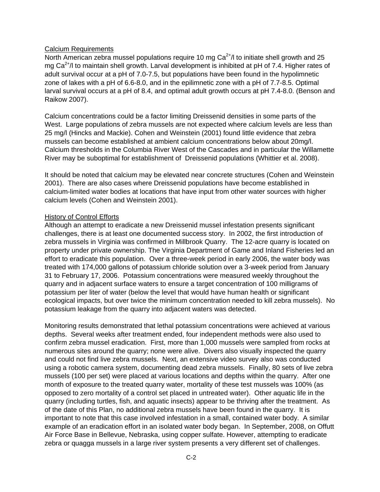#### Calcium Requirements

North American zebra mussel populations require 10 mg  $Ca<sup>2+</sup>/I$  to initiate shell growth and 25 mg  $Ca^{2+}/l$  to maintain shell growth. Larval development is inhibited at pH of 7.4. Higher rates of adult survival occur at a pH of 7.0-7.5, but populations have been found in the hypolimnetic zone of lakes with a pH of 6.6-8.0, and in the epilimnetic zone with a pH of 7.7-8.5. Optimal larval survival occurs at a pH of 8.4, and optimal adult growth occurs at pH 7.4-8.0. (Benson and Raikow 2007).

Calcium concentrations could be a factor limiting Dreissenid densities in some parts of the West. Large populations of zebra mussels are not expected where calcium levels are less than 25 mg/l (Hincks and Mackie). Cohen and Weinstein (2001) found little evidence that zebra mussels can become established at ambient calcium concentrations below about 20mg/l. Calcium thresholds in the Columbia River West of the Cascades and in particular the Willamette River may be suboptimal for establishment of Dreissenid populations (Whittier et al. 2008).

It should be noted that calcium may be elevated near concrete structures (Cohen and Weinstein 2001). There are also cases where Dreissenid populations have become established in calcium-limited water bodies at locations that have input from other water sources with higher calcium levels (Cohen and Weinstein 2001).

#### History of Control Efforts

Although an attempt to eradicate a new Dreissenid mussel infestation presents significant challenges, there is at least one documented success story. In 2002, the first introduction of zebra mussels in Virginia was confirmed in Millbrook Quarry. The 12-acre quarry is located on property under private ownership. The Virginia Department of Game and Inland Fisheries led an effort to eradicate this population. Over a three-week period in early 2006, the water body was treated with 174,000 gallons of potassium chloride solution over a 3-week period from January 31 to February 17, 2006. Potassium concentrations were measured weekly throughout the quarry and in adjacent surface waters to ensure a target concentration of 100 milligrams of potassium per liter of water (below the level that would have human health or significant ecological impacts, but over twice the minimum concentration needed to kill zebra mussels). No potassium leakage from the quarry into adjacent waters was detected.

Monitoring results demonstrated that lethal potassium concentrations were achieved at various depths. Several weeks after treatment ended, four independent methods were also used to confirm zebra mussel eradication. First, more than 1,000 mussels were sampled from rocks at numerous sites around the quarry; none were alive. Divers also visually inspected the quarry and could not find live zebra mussels. Next, an extensive video survey also was conducted using a robotic camera system, documenting dead zebra mussels. Finally, 80 sets of live zebra mussels (100 per set) were placed at various locations and depths within the quarry. After one month of exposure to the treated quarry water, mortality of these test mussels was 100% (as opposed to zero mortality of a control set placed in untreated water). Other aquatic life in the quarry (including turtles, fish, and aquatic insects) appear to be thriving after the treatment. As of the date of this Plan, no additional zebra mussels have been found in the quarry. It is important to note that this case involved infestation in a small, contained water body. A similar example of an eradication effort in an isolated water body began. In September, 2008, on Offutt Air Force Base in Bellevue, Nebraska, using copper sulfate. However, attempting to eradicate zebra or quagga mussels in a large river system presents a very different set of challenges.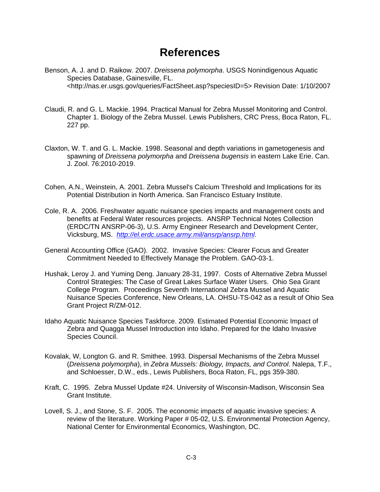### **References**

- Benson, A. J. and D. Raikow. 2007. *Dreissena polymorpha*. USGS Nonindigenous Aquatic Species Database, Gainesville, FL. <http://nas.er.usgs.gov/queries/FactSheet.asp?speciesID=5> Revision Date: 1/10/2007
- Claudi, R. and G. L. Mackie. 1994. Practical Manual for Zebra Mussel Monitoring and Control. Chapter 1. Biology of the Zebra Mussel. Lewis Publishers, CRC Press, Boca Raton, FL. 227 pp.
- Claxton, W. T. and G. L. Mackie. 1998. Seasonal and depth variations in gametogenesis and spawning of *Dreissena polymorpha* and *Dreissena bugensis* in eastern Lake Erie. Can. J. Zool. 76:2010-2019.
- Cohen, A.N., Weinstein, A. 2001. Zebra Mussel's Calcium Threshold and Implications for its Potential Distribution in North America. San Francisco Estuary Institute.
- Cole, R. A. 2006. Freshwater aquatic nuisance species impacts and management costs and benefits at Federal Water resources projects. ANSRP Technical Notes Collection (ERDC/TN ANSRP-06-3), U.S. Army Engineer Research and Development Center, Vicksburg, MS. *http://el.erdc.usace.army.mil/ansrp/ansrp.html*.
- General Accounting Office (GAO). 2002. Invasive Species: Clearer Focus and Greater Commitment Needed to Effectively Manage the Problem. GAO-03-1.
- Hushak, Leroy J. and Yuming Deng. January 28-31, 1997. Costs of Alternative Zebra Mussel Control Strategies: The Case of Great Lakes Surface Water Users. Ohio Sea Grant College Program. Proceedings Seventh International Zebra Mussel and Aquatic Nuisance Species Conference, New Orleans, LA. OHSU-TS-042 as a result of Ohio Sea Grant Project R/ZM-012.
- Idaho Aquatic Nuisance Species Taskforce. 2009. Estimated Potential Economic Impact of Zebra and Quagga Mussel Introduction into Idaho. Prepared for the Idaho Invasive Species Council.
- Kovalak, W, Longton G. and R. Smithee. 1993. Dispersal Mechanisms of the Zebra Mussel (*Dreissena polymorpha*), in *Zebra Mussels: Biology, Impacts, and Control*. Nalepa, T.F., and Schloesser, D.W., eds., Lewis Publishers, Boca Raton, FL, pgs 359-380.
- Kraft, C. 1995.Zebra Mussel Update #24. University of Wisconsin-Madison, Wisconsin Sea Grant Institute.
- Lovell, S. J., and Stone, S. F. 2005. The economic impacts of aquatic invasive species: A review of the literature. Working Paper # 05-02, U.S. Environmental Protection Agency, National Center for Environmental Economics, Washington, DC.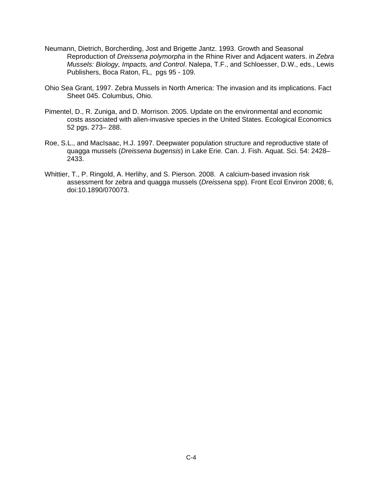- Neumann, Dietrich, Borcherding, Jost and Brigette Jantz. 1993. Growth and Seasonal Reproduction of *Dreissena polymorpha* in the Rhine River and Adjacent waters. in *Zebra Mussels: Biology, Impacts, and Control*. Nalepa, T.F., and Schloesser, D.W., eds., Lewis Publishers, Boca Raton, FL, pgs 95 - 109.
- Ohio Sea Grant, 1997. Zebra Mussels in North America: The invasion and its implications. Fact Sheet 045. Columbus, Ohio.
- Pimentel, D., R. Zuniga, and D. Morrison. 2005. Update on the environmental and economic costs associated with alien-invasive species in the United States. Ecological Economics 52 pgs. 273– 288.
- Roe, S.L., and MacIsaac, H.J. 1997. Deepwater population structure and reproductive state of quagga mussels (*Dreissena bugensis*) in Lake Erie. Can. J. Fish. Aquat. Sci. 54: 2428– 2433.
- Whittier, T., P. Ringold, A. Herlihy, and S. Pierson. 2008. A calcium-based invasion risk assessment for zebra and quagga mussels (*Dreissena* spp). Front Ecol Environ 2008; 6, doi:10.1890/070073.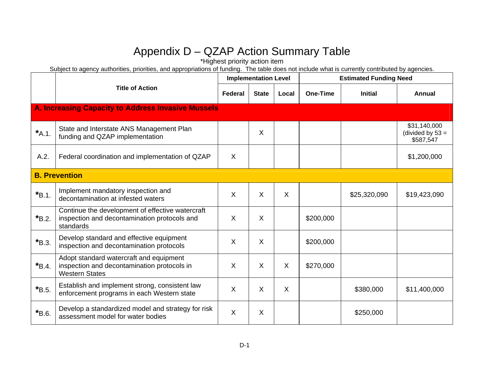\*Highest priority action item

|             |                                                                                                                 |                | <b>Implementation Level</b> |         | <b>Estimated Funding Need</b> |                |                                                 |  |
|-------------|-----------------------------------------------------------------------------------------------------------------|----------------|-----------------------------|---------|-------------------------------|----------------|-------------------------------------------------|--|
|             | <b>Title of Action</b>                                                                                          | <b>Federal</b> | <b>State</b>                | Local   | <b>One-Time</b>               | <b>Initial</b> | Annual                                          |  |
|             | A. Increasing Capacity to Address Invasive Mussels                                                              |                |                             |         |                               |                |                                                 |  |
| $*A.1$ .    | State and Interstate ANS Management Plan<br>funding and QZAP implementation                                     |                | X                           |         |                               |                | \$31,140,000<br>(divided by $53 =$<br>\$587,547 |  |
| A.2.        | Federal coordination and implementation of QZAP                                                                 | $\sf X$        |                             |         |                               |                | \$1,200,000                                     |  |
|             | <b>B. Prevention</b>                                                                                            |                |                             |         |                               |                |                                                 |  |
| $*_{B.1}$ . | Implement mandatory inspection and<br>decontamination at infested waters                                        | $\times$       | $\times$                    | $\sf X$ |                               | \$25,320,090   | \$19,423,090                                    |  |
| $*B.2$ .    | Continue the development of effective watercraft<br>inspection and decontamination protocols and<br>standards   | X              | X                           |         | \$200,000                     |                |                                                 |  |
| $*_{B.3.}$  | Develop standard and effective equipment<br>inspection and decontamination protocols                            | $\times$       | $\sf X$                     |         | \$200,000                     |                |                                                 |  |
| $*_{B.4.}$  | Adopt standard watercraft and equipment<br>inspection and decontamination protocols in<br><b>Western States</b> | $\sf X$        | $\sf X$                     | $\sf X$ | \$270,000                     |                |                                                 |  |
| $*B.5.$     | Establish and implement strong, consistent law<br>enforcement programs in each Western state                    | X              | X                           | $\sf X$ |                               | \$380,000      | \$11,400,000                                    |  |
| $*B.6$ .    | Develop a standardized model and strategy for risk<br>assessment model for water bodies                         | $\sf X$        | X                           |         |                               | \$250,000      |                                                 |  |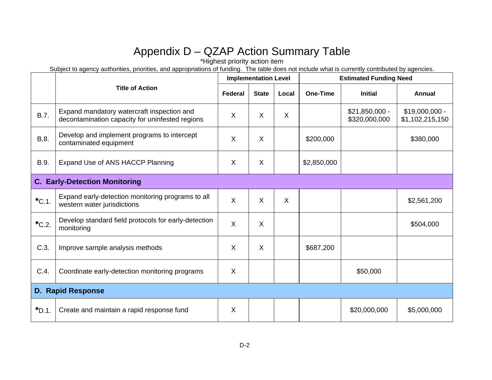\*Highest priority action item

|                 |                                                                                               |         | <b>Implementation Level</b> |         |                 | <b>Estimated Funding Need</b>    |                                    |  |  |
|-----------------|-----------------------------------------------------------------------------------------------|---------|-----------------------------|---------|-----------------|----------------------------------|------------------------------------|--|--|
|                 | <b>Title of Action</b>                                                                        | Federal | <b>State</b>                | Local   | <b>One-Time</b> | <b>Initial</b>                   | Annual                             |  |  |
| B.7.            | Expand mandatory watercraft inspection and<br>decontamination capacity for uninfested regions | $\sf X$ | $\sf X$                     | $\sf X$ |                 | $$21,850,000 -$<br>\$320,000,000 | $$19,000,000 -$<br>\$1,102,215,150 |  |  |
| B.8.            | Develop and implement programs to intercept<br>contaminated equipment                         | X       | X                           |         | \$200,000       |                                  | \$380,000                          |  |  |
| B.9.            | Expand Use of ANS HACCP Planning                                                              | $\sf X$ | $\sf X$                     |         | \$2,850,000     |                                  |                                    |  |  |
|                 | <b>C. Early-Detection Monitoring</b>                                                          |         |                             |         |                 |                                  |                                    |  |  |
| $*$ C.1.        | Expand early-detection monitoring programs to all<br>western water jurisdictions              | $\sf X$ | $\mathsf{X}$                | $\sf X$ |                 |                                  | \$2,561,200                        |  |  |
| $^{\star}$ C.2. | Develop standard field protocols for early-detection<br>monitoring                            | X       | X                           |         |                 |                                  | \$504,000                          |  |  |
| C.3.            | Improve sample analysis methods                                                               | X       | X                           |         | \$687,200       |                                  |                                    |  |  |
| C.4.            | Coordinate early-detection monitoring programs                                                | $\sf X$ |                             |         |                 | \$50,000                         |                                    |  |  |
|                 | <b>D. Rapid Response</b>                                                                      |         |                             |         |                 |                                  |                                    |  |  |
| $*D.1.$         | Create and maintain a rapid response fund                                                     | X       |                             |         |                 | \$20,000,000                     | \$5,000,000                        |  |  |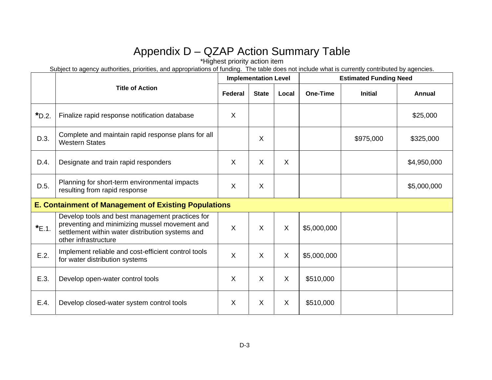\*Highest priority action item

|          |                                                                                                                                                                              |         | <b>Implementation Level</b> |         | <b>Estimated Funding Need</b> |                |             |  |
|----------|------------------------------------------------------------------------------------------------------------------------------------------------------------------------------|---------|-----------------------------|---------|-------------------------------|----------------|-------------|--|
|          | <b>Title of Action</b>                                                                                                                                                       | Federal | <b>State</b>                | Local   | <b>One-Time</b>               | <b>Initial</b> | Annual      |  |
| $*D.2$ . | Finalize rapid response notification database                                                                                                                                | $\sf X$ |                             |         |                               |                | \$25,000    |  |
| D.3.     | Complete and maintain rapid response plans for all<br><b>Western States</b>                                                                                                  |         | X                           |         |                               | \$975,000      | \$325,000   |  |
| D.4.     | Designate and train rapid responders                                                                                                                                         | $\sf X$ | X                           | $\sf X$ |                               |                | \$4,950,000 |  |
| D.5.     | Planning for short-term environmental impacts<br>resulting from rapid response                                                                                               | $\sf X$ | $\sf X$                     |         |                               |                | \$5,000,000 |  |
|          | <b>E. Containment of Management of Existing Populations</b>                                                                                                                  |         |                             |         |                               |                |             |  |
| $E.1$ .  | Develop tools and best management practices for<br>preventing and minimizing mussel movement and<br>settlement within water distribution systems and<br>other infrastructure | $\sf X$ | $\sf X$                     | X       | \$5,000,000                   |                |             |  |
| E.2.     | Implement reliable and cost-efficient control tools<br>for water distribution systems                                                                                        | $\sf X$ | X                           | X       | \$5,000,000                   |                |             |  |
| E.3.     | Develop open-water control tools                                                                                                                                             | $\sf X$ | X                           | X       | \$510,000                     |                |             |  |
| E.4.     | Develop closed-water system control tools                                                                                                                                    | $\sf X$ | X                           | X       | \$510,000                     |                |             |  |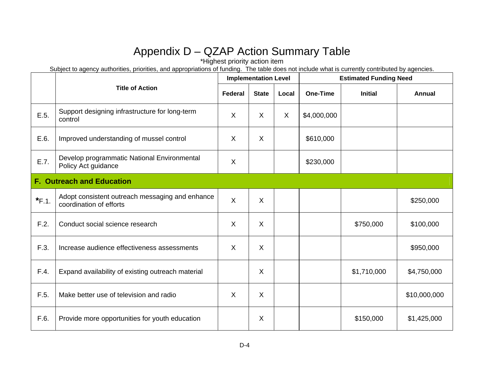\*Highest priority action item

|         |                                                                            |         | <b>Implementation Level</b> |       | <b>Estimated Funding Need</b> |                |               |  |
|---------|----------------------------------------------------------------------------|---------|-----------------------------|-------|-------------------------------|----------------|---------------|--|
|         | <b>Title of Action</b>                                                     | Federal | <b>State</b>                | Local | One-Time                      | <b>Initial</b> | <b>Annual</b> |  |
| E.5.    | Support designing infrastructure for long-term<br>control                  | X       | X                           | X     | \$4,000,000                   |                |               |  |
| E.6.    | Improved understanding of mussel control                                   | X       | X                           |       | \$610,000                     |                |               |  |
| E.7.    | Develop programmatic National Environmental<br>Policy Act guidance         | X       |                             |       | \$230,000                     |                |               |  |
|         | <b>F. Outreach and Education</b>                                           |         |                             |       |                               |                |               |  |
| $*F.1.$ | Adopt consistent outreach messaging and enhance<br>coordination of efforts | $\sf X$ | X                           |       |                               |                | \$250,000     |  |
| F.2.    | Conduct social science research                                            | X       | X                           |       |                               | \$750,000      | \$100,000     |  |
| F.3.    | Increase audience effectiveness assessments                                | X       | X                           |       |                               |                | \$950,000     |  |
| F.4.    | Expand availability of existing outreach material                          |         | X                           |       |                               | \$1,710,000    | \$4,750,000   |  |
| F.5.    | Make better use of television and radio                                    | X       | X                           |       |                               |                | \$10,000,000  |  |
| F.6.    | Provide more opportunities for youth education                             |         | X                           |       |                               | \$150,000      | \$1,425,000   |  |